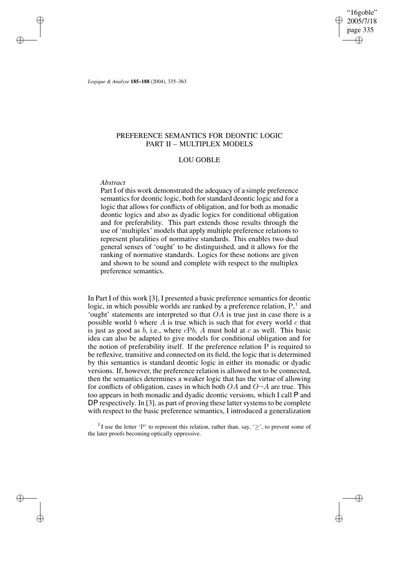"16goble" 2005/7/18 page 335 ✐ ✐

✐

✐

*Logique & Analyse* **185–188** (2004), 335–363

# PREFERENCE SEMANTICS FOR DEONTIC LOGIC PART II – MULTIPLEX MODELS

# LOU GOBLE

# *Abstract*

✐

✐

✐

✐

Part I of this work demonstrated the adequacy of a simple preference semantics for deontic logic, both for standard deontic logic and for a logic that allows for conflicts of obligation, and for both as monadic deontic logics and also as dyadic logics for conditional obligation and for preferability. This part extends those results through the use of 'multiplex' models that apply multiple preference relations to represent pluralities of normative standards. This enables two dual general senses of 'ought' to be distinguished, and it allows for the ranking of normative standards. Logics for these notions are given and shown to be sound and complete with respect to the multiplex preference semantics.

In Part I of this work [3], I presented a basic preference semantics for deontic logic, in which possible worlds are ranked by a preference relation,  $P<sup>1</sup>$ , and 'ought' statements are interpreted so that  $OA$  is true just in case there is a possible world  $b$  where  $A$  is true which is such that for every world  $c$  that is just as good as b, i.e., where  $cPb$ , A must hold at c as well. This basic idea can also be adapted to give models for conditional obligation and for the notion of preferability itself. If the preference relation P is required to be reflexive, transitive and connected on its field, the logic that is determined by this semantics is standard deontic logic in either its monadic or dyadic versions. If, however, the preference relation is allowed not to be connected, then the semantics determines a weaker logic that has the virtue of allowing for conflicts of obligation, cases in which both  $OA$  and  $O\neg A$  are true. This too appears in both monadic and dyadic deontic versions, which I call P and DP respectively. In [3], as part of proving these latter systems to be complete with respect to the basic preference semantics, I introduced a generalization

<sup>1</sup>I use the letter 'P' to represent this relation, rather than, say, ' $\geq$ ', to prevent some of the later proofs becoming optically oppressive.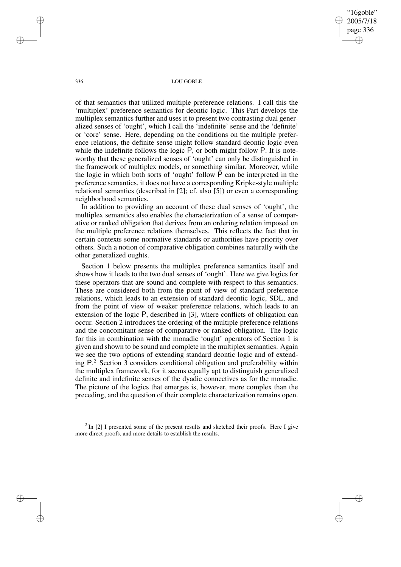"16goble" 2005/7/18 page 336 ✐ ✐

✐

✐

336 LOU GOBLE

of that semantics that utilized multiple preference relations. I call this the 'multiplex' preference semantics for deontic logic. This Part develops the multiplex semantics further and uses it to present two contrasting dual generalized senses of 'ought', which I call the 'indefinite' sense and the 'definite' or 'core' sense. Here, depending on the conditions on the multiple preference relations, the definite sense might follow standard deontic logic even while the indefinite follows the logic P, or both might follow P. It is noteworthy that these generalized senses of 'ought' can only be distinguished in the framework of multiplex models, or something similar. Moreover, while the logic in which both sorts of 'ought' follow  $\overline{P}$  can be interpreted in the preference semantics, it does not have a corresponding Kripke-style multiple relational semantics (described in [2]; cf. also [5]) or even a corresponding neighborhood semantics.

In addition to providing an account of these dual senses of 'ought', the multiplex semantics also enables the characterization of a sense of comparative or ranked obligation that derives from an ordering relation imposed on the multiple preference relations themselves. This reflects the fact that in certain contexts some normative standards or authorities have priority over others. Such a notion of comparative obligation combines naturally with the other generalized oughts.

Section 1 below presents the multiplex preference semantics itself and shows how it leads to the two dual senses of 'ought'. Here we give logics for these operators that are sound and complete with respect to this semantics. These are considered both from the point of view of standard preference relations, which leads to an extension of standard deontic logic, SDL, and from the point of view of weaker preference relations, which leads to an extension of the logic P, described in [3], where conflicts of obligation can occur. Section 2 introduces the ordering of the multiple preference relations and the concomitant sense of comparative or ranked obligation. The logic for this in combination with the monadic 'ought' operators of Section 1 is given and shown to be sound and complete in the multiplex semantics. Again we see the two options of extending standard deontic logic and of extending P. <sup>2</sup> Section 3 considers conditional obligation and preferability within the multiplex framework, for it seems equally apt to distinguish generalized definite and indefinite senses of the dyadic connectives as for the monadic. The picture of the logics that emerges is, however, more complex than the preceding, and the question of their complete characterization remains open.

 $2 \text{ In } [2]$  I presented some of the present results and sketched their proofs. Here I give more direct proofs, and more details to establish the results.

✐

✐

✐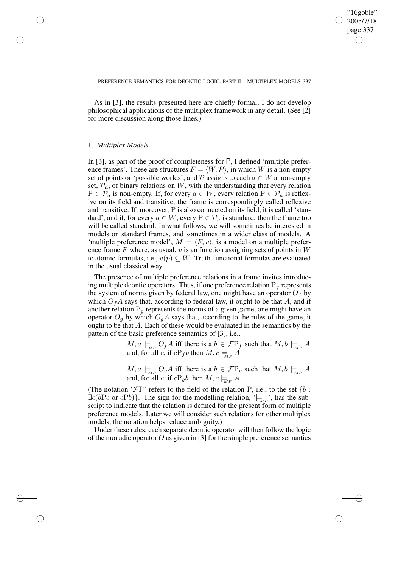✐

#### PREFERENCE SEMANTICS FOR DEONTIC LOGIC: PART II – MULTIPLEX MODELS 337

As in [3], the results presented here are chiefly formal; I do not develop philosophical applications of the multiplex framework in any detail. (See [2] for more discussion along those lines.)

# 1. *Multiplex Models*

✐

✐

✐

✐

In [3], as part of the proof of completeness for P, I defined 'multiple preference frames'. These are structures  $F = \langle W, \mathcal{P} \rangle$ , in which W is a non-empty set of points or 'possible worlds', and  $P$  assigns to each  $a \in W$  a non-empty set,  $\mathcal{P}_a$ , of binary relations on W, with the understanding that every relation  $P \in \mathcal{P}_a$  is non-empty. If, for every  $a \in W$ , every relation  $P \in \mathcal{P}_a$  is reflexive on its field and transitive, the frame is correspondingly called reflexive and transitive. If, moreover, P is also connected on its field, it is called 'standard', and if, for every  $a \in W$ , every  $P \in \mathcal{P}_a$  is standard, then the frame too will be called standard. In what follows, we will sometimes be interested in models on standard frames, and sometimes in a wider class of models. A 'multiple preference model',  $M = \langle F, v \rangle$ , is a model on a multiple preference frame  $F$  where, as usual,  $v$  is an function assigning sets of points in  $W$ to atomic formulas, i.e.,  $v(p) \subseteq W$ . Truth-functional formulas are evaluated in the usual classical way.

The presence of multiple preference relations in a frame invites introducing multiple deontic operators. Thus, if one preference relation  $P_f$  represents the system of norms given by federal law, one might have an operator  $O<sub>f</sub>$  by which  $O_fA$  says that, according to federal law, it ought to be that A, and if another relation  $P_q$  represents the norms of a given game, one might have an operator  $O_g$  by which  $O_gA$  says that, according to the rules of the game, it ought to be that A. Each of these would be evaluated in the semantics by the pattern of the basic preference semantics of [3], i.e.,

> $M, a \models_{\text{MP}} O_f A$  iff there is a  $b \in \mathcal{F}P_f$  such that  $M, b \models_{\text{MP}} A$ and, for all c, if  $cP_f b$  then  $M, c \models_{\overline{MP}} A$

> $M, a \models_{\text{MP}} O_g A$  iff there is a  $b \in \mathcal{F}P_g$  such that  $M, b \models_{\text{MP}} A$ and, for all c, if  $cP_gb$  then  $M, c \models R$

(The notation ' $\mathcal{F}P'$  refers to the field of the relation P, i.e., to the set {b :  $\exists c(bPc \text{ or } cPb)$ . The sign for the modelling relation, ' $\models_{MP}$ ', has the subscript to indicate that the relation is defined for the present form of multiple preference models. Later we will consider such relations for other multiplex models; the notation helps reduce ambiguity.)

Under these rules, each separate deontic operator will then follow the logic of the monadic operator O as given in [3] for the simple preference semantics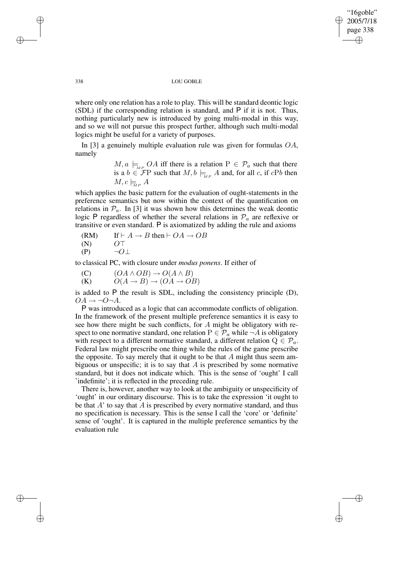✐

#### 338 LOU GOBLE

where only one relation has a role to play. This will be standard deontic logic (SDL) if the corresponding relation is standard, and P if it is not. Thus, nothing particularly new is introduced by going multi-modal in this way, and so we will not pursue this prospect further, although such multi-modal logics might be useful for a variety of purposes.

In [3] a genuinely multiple evaluation rule was given for formulas  $OA$ , namely

> $M, a \models_{MP} OA$  iff there is a relation  $P \in \mathcal{P}_a$  such that there is a  $b \in \mathcal{F}P$  such that  $M, b \models_{MP} A$  and, for all c, if cPb then  $M, c \models_{\text{M}P} A$

which applies the basic pattern for the evaluation of ought-statements in the preference semantics but now within the context of the quantification on relations in  $\mathcal{P}_a$ . In [3] it was shown how this determines the weak deontic logic P regardless of whether the several relations in  $\mathcal{P}_a$  are reflexive or transitive or even standard. P is axiomatized by adding the rule and axioms

(RM) If 
$$
\vdash A \rightarrow B
$$
 then  $\vdash OA \rightarrow OB$   
(N)  $O\top$ 

 $(P) \qquad \neg O \perp$ 

to classical PC, with closure under *modus ponens*. If either of

- (C)  $(OA \wedge OB) \rightarrow O(A \wedge B)$
- (K)  $O(A \rightarrow B) \rightarrow (OA \rightarrow OB)$

is added to P the result is SDL, including the consistency principle (D),  $OA \rightarrow \neg O \neg A$ .

P was introduced as a logic that can accommodate conflicts of obligation. In the framework of the present multiple preference semantics it is easy to see how there might be such conflicts, for A might be obligatory with respect to one normative standard, one relation  $P \in \mathcal{P}_a$  while  $\neg A$  is obligatory with respect to a different normative standard, a different relation  $Q \in \mathcal{P}_a$ . Federal law might prescribe one thing while the rules of the game prescribe the opposite. To say merely that it ought to be that  $A$  might thus seem ambiguous or unspecific; it is to say that  $A$  is prescribed by some normative standard, but it does not indicate which. This is the sense of 'ought' I call 'indefinite'; it is reflected in the preceding rule.

There is, however, another way to look at the ambiguity or unspecificity of 'ought' in our ordinary discourse. This is to take the expression 'it ought to be that  $A'$  to say that  $A$  is prescribed by every normative standard, and thus no specification is necessary. This is the sense I call the 'core' or 'definite' sense of 'ought'. It is captured in the multiple preference semantics by the evaluation rule

✐

✐

✐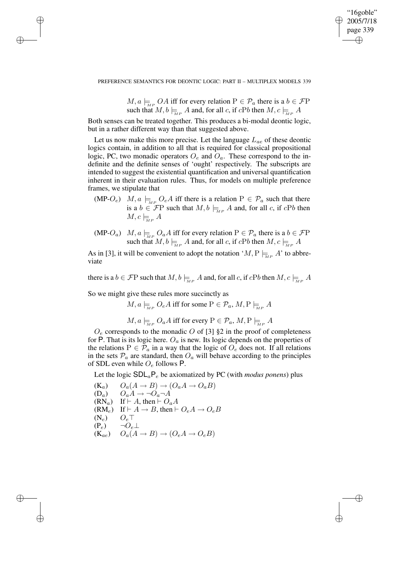✐

#### PREFERENCE SEMANTICS FOR DEONTIC LOGIC: PART II – MULTIPLEX MODELS 339

 $M, a \models_{\text{MP}} OA$  iff for every relation  $P \in \mathcal{P}_a$  there is a  $b \in \mathcal{F}P$ such that  $M, b \models_{\mathcal{M}^P} A$  and, for all c, if  $cPb$  then  $M, c \models_{\mathcal{M}^P} A$ 

Both senses can be treated together. This produces a bi-modal deontic logic, but in a rather different way than that suggested above.

Let us now make this more precise. Let the language  $L_{ae}$  of these deontic logics contain, in addition to all that is required for classical propositional logic, PC, two monadic operators  $O_e$  and  $O_a$ . These correspond to the indefinite and the definite senses of 'ought' respectively. The subscripts are intended to suggest the existential quantification and universal quantification inherent in their evaluation rules. Thus, for models on multiple preference frames, we stipulate that

- (MP-O<sub>e</sub>)  $M, a \models_{\text{MP}} Q_eA$  iff there is a relation  $P \in \mathcal{P}_a$  such that there is a  $b \in \mathcal{F}P$  such that  $M, b \models_{MP} A$  and, for all c, if cPb then  $M, c \models_{\text{M.P.}} A$
- (MP-O<sub>a</sub>)  $M, a \models_{\text{MP}} O_aA$  iff for every relation  $P \in \mathcal{P}_a$  there is a  $b \in \mathcal{F}P$ such that  $M, b \models_{\mathcal{M}^P} A$  and, for all c, if  $cPb$  then  $M, c \models_{\mathcal{M}^P} A$

As in [3], it will be convenient to adopt the notation ' $M, P \models_{M \in \mathcal{A}} A'$  to abbreviate

there is a  $b \in \mathcal{F}P$  such that  $M, b \models_{M} A$  and, for all c, if  $cPb$  then  $M, c \models_{M} A$ 

So we might give these rules more succinctly as

✐

✐

✐

✐

 $M, a \models_{\text{MP}} O_eA$  iff for some  $P \in \mathcal{P}_a$ ,  $M, P \models_{\text{MP}} A$ 

$$
M, a \models_{\text{MP}} O_a A
$$
 iff for every  $P \in \mathcal{P}_a, M, P \models_{\text{MP}} A$ 

 $O_e$  corresponds to the monadic O of [3] §2 in the proof of completeness for P. That is its logic here.  $O_a$  is new. Its logic depends on the properties of the relations  $P \in \mathcal{P}_a$  in a way that the logic of  $O_e$  does not. If all relations in the sets  $\mathcal{P}_a$  are standard, then  $O_a$  will behave according to the principles of SDL even while  $O_e$  follows P.

Let the logic  $SDL<sub>a</sub>P<sub>e</sub>$  be axiomatized by PC (with *modus ponens*) plus

(K<sub>a</sub>)  $O_a(A \to B) \to (O_a A \to O_a B)$ <br>
(D<sub>a</sub>)  $O_a A \to \neg O_a \neg A$  $O_aA \rightarrow \neg O_a\neg A$  $(RN_a)$  If  $\vdash A$ , then  $\vdash O_aA$  $(RM_e)$  If  $\vdash A \rightarrow B$ , then  $\vdash O_eA \rightarrow O_eB$  $(N_e)$   $Q_e$ <sup>T</sup>  $(P_e) \qquad \neg O_e \bot$  $(K_{ae})$   $O_a(A \rightarrow B) \rightarrow (O_eA \rightarrow O_eB)$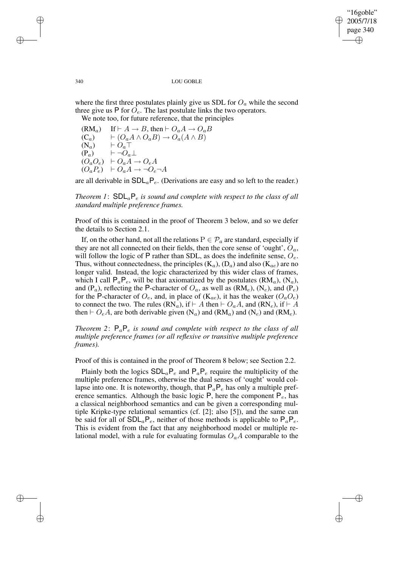✐

#### 340 LOU GOBLE

where the first three postulates plainly give us SDL for  $O_a$  while the second three give us P for  $\overline{O}_e$ . The last postulate links the two operators.

We note too, for future reference, that the principles

(RM<sub>a</sub>) If  $\vdash A \rightarrow B$ , then  $\vdash O_aA \rightarrow O_aB$ <br>
(C<sub>a</sub>)  $\vdash (O_aA \land O_aB) \rightarrow O_a(A \land B)$  $\overrightarrow{C_a}$   $\rightarrow$   $\overrightarrow{C_aA} \wedge O_aB$   $\rightarrow$   $\overrightarrow{O_a}(A \wedge B)$ <br>  $\overrightarrow{C_a}$   $\top$  $\vdash \overline{O_a \top}$  $(P_a) \qquad \vdash \neg O_a \bot$  $(O_a O_e)$   $\vdash O_a A \rightarrow O_e A$  $(O_a P_e)$   $\vdash O_a A \rightarrow \neg O_e \neg A$ 

are all derivable in  $SDL_aP_e$ . (Derivations are easy and so left to the reader.)

*Theorem* 1:  $SDL_aP_e$  *is sound and complete with respect to the class of all standard multiple preference frames.*

Proof of this is contained in the proof of Theorem 3 below, and so we defer the details to Section 2.1.

If, on the other hand, not all the relations  $P \in \mathcal{P}_a$  are standard, especially if they are not all connected on their fields, then the core sense of 'ought',  $O_a$ , will follow the logic of P rather than SDL, as does the indefinite sense,  $O_e$ . Thus, without connectedness, the principles  $(K_a)$ ,  $(D_a)$  and also  $(K_{ae})$  are no longer valid. Instead, the logic characterized by this wider class of frames, which I call  $P_aP_e$ , will be that axiomatized by the postulates (RM<sub>a</sub>), (N<sub>a</sub>), and (P<sub>a</sub>), reflecting the P-character of  $O_a$ , as well as (RM<sub>e</sub>), (N<sub>e</sub>), and (P<sub>e</sub>) for the P-character of  $O_e$ , and, in place of ( $K_{ae}$ ), it has the weaker ( $O_aO_e$ ) to connect the two. The rules (RN<sub>a</sub>), if  $\vdash A$  then  $\vdash O_aA$ , and (RN<sub>e</sub>), if  $\vdash A$ then  $\vdash O_eA$ , are both derivable given  $(N_a)$  and  $(RM_a)$  and  $(N_e)$  and  $(RM_e)$ .

*Theorem* 2:  $P_a P_e$  *is sound and complete with respect to the class of all multiple preference frames (or all reflexive or transitive multiple preference frames).*

Proof of this is contained in the proof of Theorem 8 below; see Section 2.2.

Plainly both the logics  $SDL_aP_e$  and  $P_aP_e$  require the multiplicity of the multiple preference frames, otherwise the dual senses of 'ought' would collapse into one. It is noteworthy, though, that  $P_aP_e$  has only a multiple preference semantics. Although the basic logic P, here the component  $P_e$ , has a classical neighborhood semantics and can be given a corresponding multiple Kripke-type relational semantics (cf. [2]; also [5]), and the same can be said for all of  $SDL_aP_e$ , neither of those methods is applicable to  $P_aP_e$ . This is evident from the fact that any neighborhood model or multiple relational model, with a rule for evaluating formulas  $O_aA$  comparable to the

✐

✐

✐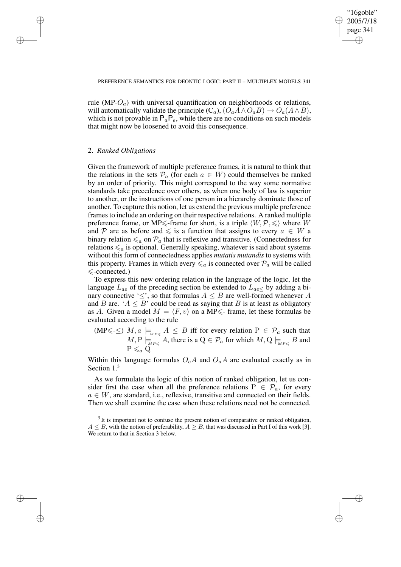✐

rule (MP- $O_a$ ) with universal quantification on neighborhoods or relations, will automatically validate the principle  $(C_a)$ ,  $(O_aA \wedge O_aB) \rightarrow O_a(A \wedge B)$ , which is not provable in  $P_aP_e$ , while there are no conditions on such models that might now be loosened to avoid this consequence.

# 2. *Ranked Obligations*

✐

✐

✐

✐

Given the framework of multiple preference frames, it is natural to think that the relations in the sets  $\mathcal{P}_a$  (for each  $a \in W$ ) could themselves be ranked by an order of priority. This might correspond to the way some normative standards take precedence over others, as when one body of law is superior to another, or the instructions of one person in a hierarchy dominate those of another. To capture this notion, let us extend the previous multiple preference frames to include an ordering on their respective relations. A ranked multiple preference frame, or MP $\le$ -frame for short, is a triple  $\langle W, \mathcal{P}, \leq \rangle$  where W and P are as before and  $\leq$  is a function that assigns to every  $a \in W$  a binary relation  $\leq_a$  on  $\mathcal{P}_a$  that is reflexive and transitive. (Connectedness for relations  $\leq_a$  is optional. Generally speaking, whatever is said about systems without this form of connectedness applies *mutatis mutandis* to systems with this property. Frames in which every  $\leq_a$  is connected over  $\mathcal{P}_a$  will be called  $\le$ -connected.)

To express this new ordering relation in the language of the logic, let the language  $L_{ae}$  of the preceding section be extended to  $L_{ae}$  by adding a binary connective ' $\leq$ ', so that formulas  $A \leq B$  are well-formed whenever A and B are. ' $A \leq B$ ' could be read as saying that B is at least as obligatory as A. Given a model  $M = \langle F, v \rangle$  on a MP $\leq$ - frame, let these formulas be evaluated according to the rule

(MP $\leq$ - $\leq$ )  $M$ ,  $a \models_{_{MP\leq}} A \leq B$  iff for every relation  $P \in \mathcal{P}_a$  such that  $M, P \models_{\textit{MP} \leqslant} A$ , there is a  $Q \in \mathcal{P}_a$  for which  $M, Q \models_{\textit{MP} \leqslant} B$  and  $P \leq a Q$ 

Within this language formulas  $O_eA$  and  $O_aA$  are evaluated exactly as in Section 1.<sup>3</sup>

As we formulate the logic of this notion of ranked obligation, let us consider first the case when all the preference relations  $P \in \mathcal{P}_a$ , for every  $a \in W$ , are standard, i.e., reflexive, transitive and connected on their fields. Then we shall examine the case when these relations need not be connected.

 $3$  It is important not to confuse the present notion of comparative or ranked obligation,  $A \leq B$ , with the notion of preferability,  $A \geq B$ , that was discussed in Part I of this work [3]. We return to that in Section 3 below.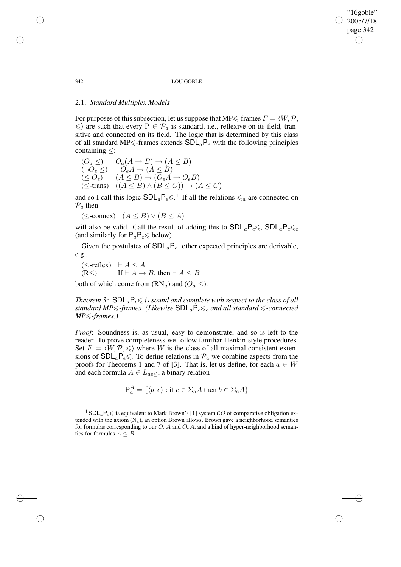"16goble" 2005/7/18 page 342 ✐ ✐

✐

✐

#### 342 LOU GOBLE

# 2.1. *Standard Multiplex Models*

For purposes of this subsection, let us suppose that MP $\leq$ -frames  $F = \langle W, \mathcal{P}, \mathcal{P} \rangle$  $\langle \xi \rangle$  are such that every  $P \in \mathcal{P}_a$  is standard, i.e., reflexive on its field, transitive and connected on its field. The logic that is determined by this class of all standard MP $\leq$ -frames extends  $SDL_aP_e$  with the following principles containing ≤:

$$
(O_a \leq) O_a(A \to B) \to (A \leq B)
$$
  
\n
$$
(\neg O_e \leq) \neg O_e A \to (A \leq B)
$$
  
\n
$$
(\leq O_e) (A \leq B) \to (O_e A \to O_e B)
$$
  
\n
$$
(\leq \text{-trans}) (A \leq B) \land (B \leq C)) \to (A \leq C)
$$

and so I call this logic  $SDL_aP_e\leq 0.4$  If all the relations  $\leq_a$  are connected on  $\mathcal{P}_a$  then

( $\le$ -connex)  $(A \leq B) \vee (B \leq A)$ 

will also be valid. Call the result of adding this to  $SDL_aP_e\leq C$ ,  $SDL_aP_e\leq C$ (and similarly for  $P_aP_e \le \text{below}$ ).

Given the postulates of  $SDL_aP_e$ , other expected principles are derivable, e.g.,

$$
\begin{array}{ll}\n(\leq\text{-reflex}) & \vdash A \leq A \\
(\mathbb{R}\leq) & \text{If } \vdash A \to B \text{, then } \vdash A \leq B\n\end{array}
$$

both of which come from  $(RN_a)$  and  $(O_a \leq)$ .

*Theorem* 3:  $SDL_aP_e \leq$  *is sound and complete with respect to the class of all standard*  $MP \leq$ -frames. (Likewise  $SDL_aP_e \leq_c$  and all standard  $\leq$ -connected *MP*≤*-frames.*)

*Proof*: Soundness is, as usual, easy to demonstrate, and so is left to the reader. To prove completeness we follow familiar Henkin-style procedures. Set  $F = \langle W, \mathcal{P}, \leq \rangle$  where W is the class of all maximal consistent extensions of  $SDL_aP_e\leq$ . To define relations in  $\mathcal{P}_a$  we combine aspects from the proofs for Theorems 1 and 7 of [3]. That is, let us define, for each  $a \in W$ and each formula  $A \in L_{ae}$ , a binary relation

$$
\mathbf{P}_a^A = \{ \langle b, c \rangle : \text{if } c \in \Sigma_a A \text{ then } b \in \Sigma_a A \}
$$

<sup>4</sup> SDL<sub>a</sub>P<sub>e</sub> $\leq$  is equivalent to Mark Brown's [1] system CO of comparative obligation extended with the axiom  $(N_e)$ , an option Brown allows. Brown gave a neighborhood semantics for formulas corresponding to our  $O_aA$  and  $O_eA$ , and a kind of hyper-neighborhood semantics for formulas  $A \leq B$ .

✐

✐

✐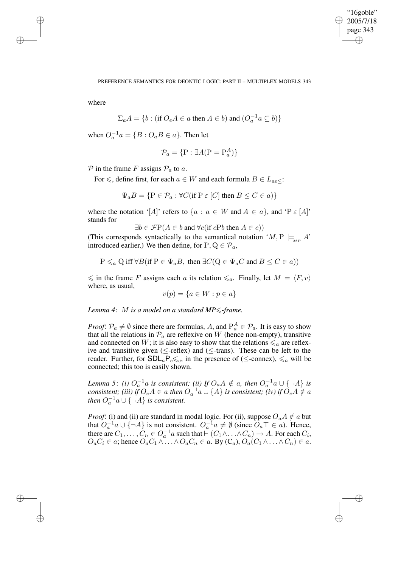✐

where

✐

✐

✐

✐

$$
\Sigma_a A = \{b : (\text{if } O_e A \in a \text{ then } A \in b) \text{ and } (O_a^{-1} a \subseteq b)\}
$$

when  $O_a^{-1}a = \{B : O_a B \in a\}$ . Then let

$$
\mathcal{P}_a = \{ \mathbf{P} : \exists A(\mathbf{P} = \mathbf{P}_a^A) \}
$$

 $P$  in the frame F assigns  $P_a$  to a.

For  $\leq$ , define first, for each  $a \in W$  and each formula  $B \in L_{ae}$ .

$$
\Psi_a B = \{ \mathbf{P} \in \mathcal{P}_a : \forall C (\text{if } \mathbf{P} \in [C] \text{ then } B \le C \in a) \}
$$

where the notation '[A]' refers to  $\{a : a \in W \text{ and } A \in a\}$ , and 'P  $\varepsilon$  [A]' stands for

$$
\exists b \in \mathcal{F}P(A \in b \text{ and } \forall c (\text{if } cPb \text{ then } A \in c))
$$

(This corresponds syntactically to the semantical notation ' $M, P \models_{\text{MP}} A'$ ' introduced earlier.) We then define, for  $P, Q \in \mathcal{P}_a$ ,

$$
P \leq_a Q
$$
 iff  $\forall B$ (if  $P \in \Psi_a B$ , then  $\exists C(Q \in \Psi_a C$  and  $B \leq C \in a)$ )

 $\leq$  in the frame F assigns each a its relation  $\leq_a$ . Finally, let  $M = \langle F, v \rangle$ where, as usual,

$$
v(p) = \{a \in W : p \in a\}
$$

*Lemma 4*: M *is a model on a standard MP*6*-frame.*

*Proof:*  $\mathcal{P}_a \neq \emptyset$  since there are formulas, A, and  $P_a^A \in \mathcal{P}_a$ . It is easy to show that all the relations in  $\mathcal{P}_a$  are reflexive on W (hence non-empty), transitive and connected on W; it is also easy to show that the relations  $\leq_a$  are reflexive and transitive given ( $\leq$ -reflex) and ( $\leq$ -trans). These can be left to the reader. Further, for  $SDL_aP_e\leq c$ , in the presence of ( $\leq$ -connex),  $\leq_a$  will be connected; this too is easily shown.

*Lemma* 5: *(i)*  $O_a^{-1}a$  *is consistent; (ii) If*  $O_aA \notin a$ *, then*  $O_a^{-1}a \cup \{\neg A\}$  *is consistent; (iii) if*  $O_eA \in a$  *then*  $O_a^{-1}a \cup {\{\AA\}}$  *is consistent; (iv) if*  $O_eA \notin a$ *then*  $O_a^{-1}a \cup \{\neg A\}$  *is consistent.* 

*Proof*: (i) and (ii) are standard in modal logic. For (ii), suppose  $O_aA \notin a$  but that  $O_a^{-1}a \cup \{\neg A\}$  is not consistent.  $O_a^{-1}a \neq \emptyset$  (since  $O_a \top \in a$ ). Hence, there are  $C_1, \ldots, C_n \in O_a^{-1}a$  such that  $\vdash (C_1 \land \ldots \land C_n) \to A$ . For each  $C_i$ ,  $O_aC_i \in \alpha$ ; hence  $O_aC_1 \wedge \ldots \wedge O_aC_n \in \alpha$ . By  $(C_a)$ ,  $O_a(C_1 \wedge \ldots \wedge C_n) \in \alpha$ .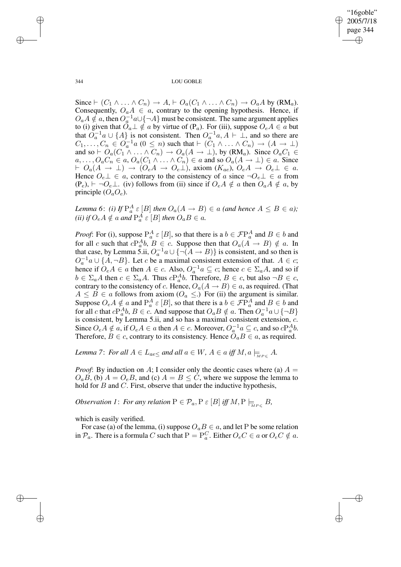✐

344 LOU GOBLE

Since  $\vdash (C_1 \land \ldots \land C_n) \to A$ ,  $\vdash O_a(C_1 \land \ldots \land C_n) \to O_aA$  by (RM<sub>a</sub>). Consequently,  $O_aA \in a$ , contrary to the opening hypothesis. Hence, if  $O_aA \notin a$ , then  $O_a^{-1}a \cup \{\neg A\}$  must be consistent. The same argument applies to (i) given that  $O_a \perp \notin a$  by virtue of  $(P_a)$ . For (iii), suppose  $O_eA \in a$  but that  $O_{a}^{-1}a \cup \{A\}$  is not consistent. Then  $O_{a}^{-1}a$ ,  $A \vdash \bot$ , and so there are  $C_1, \ldots, C_n \in O_a^{-1}a$   $(0 \leq n)$  such that  $\vdash$   $(C_1 \land \ldots \land C_n) \rightarrow (A \rightarrow \bot)$ and so  $\vdash O_a(C_1 \wedge \ldots \wedge C_n) \rightarrow O_a(A \rightarrow \bot)$ , by  $(RM_a)$ . Since  $O_aC_1 \in$  $a, \ldots, O_a C_n \in a, O_a(C_1 \wedge \ldots \wedge C_n) \in a$  and so  $O_a(A \to \bot) \in a$ . Since  $\vdash O_a(A \to \bot) \to (O_eA \to O_e\bot)$ , axiom  $(K_{ae})$ ,  $O_eA \to O_e\bot \in a$ . Hence  $O_e \perp \in a$ , contrary to the consistency of a since  $\neg O_e \perp \in a$  from  $(P_e)$ ,  $\vdash \neg O_e \bot$ . (iv) follows from (ii) since if  $O_eA \notin a$  then  $O_aA \notin a$ , by principle  $(O_a O_e)$ .

*Lemma* 6: *(i) If*  $P_a^A \varepsilon [B]$  *then*  $O_a(A \to B) \in a$  *(and hence*  $A \leq B \in a$ *)*; *(ii) if*  $O_eA \notin a$  *and*  $P_a^A \in [B]$  *then*  $O_aB \in a$ *.* 

*Proof*: For (i), suppose  $P_a^A \varepsilon [B]$ , so that there is a  $b \in \mathcal{F}P_a^A$  and  $B \in b$  and for all c such that  $cP_a^Ab$ ,  $B \in c$ . Suppose then that  $O_a(A \rightarrow B) \notin a$ . In that case, by Lemma 5.ii,  $O_a^{-1}a \cup \{ \neg(A \rightarrow B) \}$  is consistent, and so then is  $O_a^{-1}a \cup \{A, \neg B\}$ . Let c be a maximal consistent extension of that.  $A \in c$ ; hence if  $O_e A \in a$  then  $A \in c$ . Also,  $O_a^{-1} a \subseteq c$ ; hence  $c \in \Sigma_a A$ , and so if  $b \in \Sigma_a A$  then  $c \in \Sigma_a A$ . Thus  $cP_a^A b$ . Therefore,  $B \in c$ , but also  $\neg B \in c$ , contrary to the consistency of c. Hence,  $O_a(A \rightarrow B) \in a$ , as required. (That  $A \leq B \in \mathfrak{a}$  follows from axiom  $(O_{\mathfrak{a}} \leq.)$  For (ii) the argument is similar. Suppose  $O_eA \notin a$  and  $P_a^A \in [B]$ , so that there is a  $b \in \mathcal{F}P_a^A$  and  $B \in b$  and for all c that  $cP_a^Ab$ ,  $B \in \mathcal{C}$ . And suppose that  $O_aB \notin \mathcal{C}$ . Then  $O_a^{-1}\mathcal{C} \cup \{\neg B\}$ is consistent, by Lemma 5.ii, and so has a maximal consistent extension, c. Since  $O_eA \notin a$ , if  $O_eA \in a$  then  $A \in c$ . Moreover,  $O_a^{-1}a \subseteq c$ , and so  $cP_a^A b$ . Therefore,  $B \in c$ , contrary to its consistency. Hence  $\tilde{O}_a B \in a$ , as required.

*Lemma 7: For all*  $A \in L_{ae \leq}$  *and all*  $a \in W$ ,  $A \in a$  *iff*  $M$ ,  $a \models_{_{MP \leq}} A$ .

*Proof*: By induction on A; I consider only the deontic cases where (a)  $A =$  $O_a B$ , (b)  $A = O_e B$ , and (c)  $A = B \le C$ , where we suppose the lemma to hold for  $B$  and  $C$ . First, observe that under the inductive hypothesis,

*Observation 1: For any relation*  $P \in \mathcal{P}_a$ ,  $P \in [B]$  *iff*  $M$ ,  $P \models_{\overline{MP \leqslant}} B$ ,

which is easily verified.

For case (a) of the lemma, (i) suppose  $O_aB \in a$ , and let P be some relation in  $\mathcal{P}_a$ . There is a formula C such that  $P = P_a^C$ . Either  $O_eC \in a$  or  $O_eC \notin a$ .

✐

✐

✐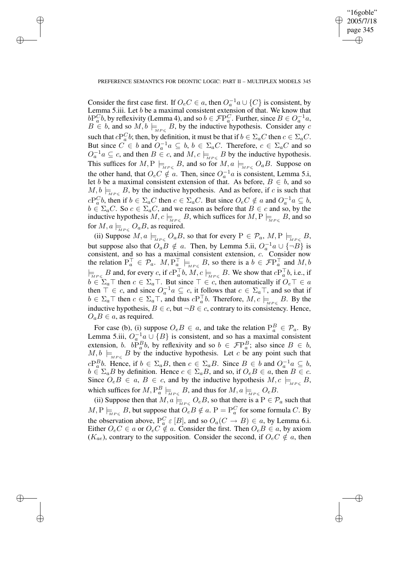✐

## PREFERENCE SEMANTICS FOR DEONTIC LOGIC: PART II – MULTIPLEX MODELS 345

✐

✐

✐

✐

Consider the first case first. If  $O_e C \in a$ , then  $O_a^{-1} a \cup \{C\}$  is consistent, by Lemma 5.iii. Let  $b$  be a maximal consistent extension of that. We know that  $bP_a^Cb$ , by reflexivity (Lemma 4), and so  $b \in \mathcal{F}P_a^C$ . Further, since  $B \in O_a^{-1}a$ ,  $B \in b$ , and so  $M, b \models_{MP \leq B} B$ , by the inductive hypothesis. Consider any c such that  $cP_a^C b$ ; then, by definition, it must be that if  $b \in \Sigma_a C$  then  $c \in \Sigma_a C$ . But since  $C \in b$  and  $O_a^{-1}a \subseteq b$ ,  $b \in \Sigma_a C$ . Therefore,  $c \in \Sigma_a C$  and so  $O_a^{-1}a \subseteq c$ , and then  $B \in c$ , and  $M, c \models_{\stackrel{\sim}{M}P \leq} B$  by the inductive hypothesis. This suffices for  $M, P \models_{MP \leq B} B$ , and so for  $M, a \models_{MP \leq O_a} O_a B$ . Suppose on the other hand, that  $O_e C \notin \mathcal{A}$ . Then, since  $O_a^{-1}a$  is consistent, Lemma 5.i, let b be a maximal consistent extension of that. As before,  $B \in b$ , and so  $M, b \models_{MP \leq B} B$ , by the inductive hypothesis. And as before, if c is such that  $cP_a^Cb$ , then if  $b \in \Sigma_a C$  then  $c \in \Sigma_a C$ . But since  $O_e C \notin a$  and  $O_a^{-1}a \subseteq b$ ,  $b \in \Sigma_a C$ . So  $c \in \Sigma_a C$ , and we reason as before that  $B \in c$  and so, by the inductive hypothesis  $M, c \models_{\overline{M}P \leqslant} B$ , which suffices for  $M, P \models_{\overline{M}P \leqslant} B$ , and so for  $M$ ,  $a \models_{\overline{M}P\leqslant} O_aB$ , as required.

(ii) Suppose  $M$ ,  $a \models_{\tiny{MP\leq}} O_aB$ , so that for every  $P \in \mathcal{P}_a$ ,  $M$ ,  $P \models_{\tiny{MP\leq}} B$ , but suppose also that  $O_a B \notin a$ . Then, by Lemma 5.ii,  $O_a^{-1} a \cup \{ \overrightarrow{\neg B} \}$  is consistent, and so has a maximal consistent extension, c. Consider now the relation  $P_a^{\top} \in \mathcal{P}_a$ .  $M, P_a^{\top} \models_{MPS} B$ , so there is a  $b \in \mathcal{F}P_a^{\top}$  and  $M, b$  $\models_{M P \leqslant} B$  and, for every c, if  $cP_a^{\top}b$ ,  $M, c \models_{M P \leqslant} B$ . We show that  $cP_a^{\top}b$ , i.e., if  $b \in \Sigma_a \top$  then  $c \in \Sigma_a \top$ . But since  $\top \in c$ , then automatically if  $O_e \top \in a$ then  $\overline{\top} \in c$ , and since  $O_a^{-1}a \subseteq c$ , it follows that  $c \in \Sigma_a \top$ , and so that if  $b \in \Sigma_a \top$  then  $c \in \Sigma_a \top$ , and thus  $cP_a^{\top}b$ . Therefore,  $M, c \models_{M P \leqslant} B$ . By the inductive hypothesis,  $B \in c$ , but  $\neg B \in c$ , contrary to its consistency. Hence,  $O_a B \in a$ , as required.

For case (b), (i) suppose  $O_eB \in a$ , and take the relation  $P_a^B \in \mathcal{P}_a$ . By Lemma 5.iii,  $O_a^{-1}a \cup \{B\}$  is consistent, and so has a maximal consistent extension, b.  $bP_a^Bb$ , by reflexivity and so  $b \in \mathcal{F}P_a^B$ ; also since  $B \in b$ ,  $M, b \models_{MP \leq B} B$  by the inductive hypothesis. Let c be any point such that  $cP_a^Bb$ . Hence, if  $b \in \Sigma_a B$ , then  $c \in \Sigma_a B$ . Since  $B \in b$  and  $O_a^{-1}a \subseteq b$ ,  $b \in \Sigma_a B$  by definition. Hence  $c \in \Sigma_a B$ , and so, if  $O_e B \in a$ , then  $B \in c$ . Since  $O_eB \in a, B \in c$ , and by the inductive hypothesis  $M, c \models_{_{MP\leqslant}} B$ , which suffices for  $M, P_a^B \models_{\overline{M}P\leqslant} B$ , and thus for  $M, a \models_{\overline{M}P\leqslant} O_eB$ .

(ii) Suppose then that  $M$ ,  $a \models_{\tiny{MP \leq}} O_eB$ , so that there is a  $P \in \mathcal{P}_a$  such that  $M, P \models_{\overline{M}P \leqslant} B$ , but suppose that  $O_eB \notin a$ .  $P = P_a^C$  for some formula C. By the observation above,  $P_a^C \varepsilon [B]$ , and so  $O_a(C \to B) \in a$ , by Lemma 6.i. Either  $O_eC \in a$  or  $O_eC \notin a$ . Consider the first. Then  $O_eB \in a$ , by axiom  $(K_{ae})$ , contrary to the supposition. Consider the second, if  $O_eC \notin a$ , then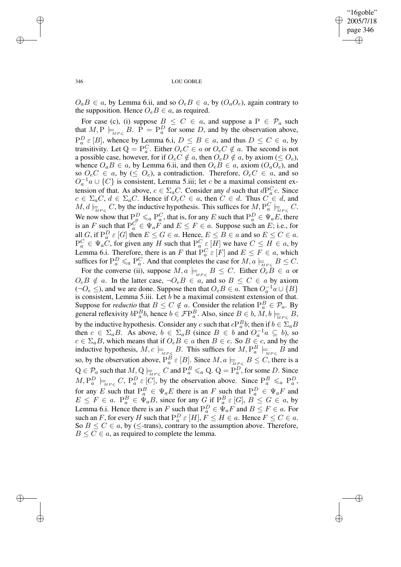✐

346 LOU GOBLE

 $O_a B \in a$ , by Lemma 6.ii, and so  $O_e B \in a$ , by  $(O_a O_e)$ , again contrary to the supposition. Hence  $O_eB \in a$ , as required.

For case (c), (i) suppose  $B \leq C \in a$ , and suppose a  $P \in \mathcal{P}_a$  such that  $M, P \models_{MP \leq B} B$ .  $P = P_a^D$  for some D, and by the observation above,  $P_a^D \varepsilon [B]$ , whence by Lemma 6.i,  $D \leq B \in a$ , and thus  $D \leq C \in a$ , by transitivity. Let  $Q = P_a^C$ . Either  $O_e C \in a$  or  $O_e C \notin a$ . The second is not a possible case, however, for if  $O_eC \notin a$ , then  $O_eD \notin a$ , by axiom ( $\leq O_e$ ), whence  $O_a B \in a$ , by Lemma 6.ii, and then  $O_e B \in a$ , axiom  $(O_a O_e)$ , and so  $O_eC \in a$ , by  $(\leq O_e)$ , a contradiction. Therefore,  $O_eC \in a$ , and so  $O_a^{-1}$  $\alpha \cup \{C\}$  is consistent, Lemma 5.iii; let c be a maximal consistent extension of that. As above,  $c \in \Sigma_a C$ . Consider any d such that  $dP_a^C c$ . Since  $c \in \Sigma_a C$ ,  $d \in \Sigma_a C$ . Hence if  $O_e C \in a$ , then  $C \in d$ . Thus  $C \in d$ , and  $M, d \models_{\overline{MP} \leqslant} C$ , by the inductive hypothesis. This suffices for  $M, P_a^C \models_{\overline{MP} \leqslant} C$ . We now show that  $P_a^D \leq a P_a^C$ , that is, for any E such that  $P_a^D \in \Psi_a E$ , there is an F such that  $P_a^C \in \Psi_a F$  and  $E \leq F \in a$ . Suppose such an E; i.e., for all G, if  $P_a^D \varepsilon [G]$  then  $E \le G \in a$ . Hence,  $E \le B \in a$  and so  $E \le C \in a$ .  $P_a^C \in \Psi_a C$ , for given any H such that  $P_a^C \in [H]$  we have  $C \le H \in a$ , by Lemma 6.i. Therefore, there is an F that  $P_a^C \varepsilon [F]$  and  $E \le F \in a$ , which suffices for  $\mathrm{P}^D_a \leq_a \mathrm{P}^C_a$ . And that completes the case for  $M, a \models_{\overline{M}P\leqslant} B \leq C$ .

For the converse (ii), suppose  $M, a \models_{\tiny{MP \leqslant}} B \leq C$ . Either  $O_eB \in a$  or  $O_eB \notin a$ . In the latter case,  $\neg O_eB \in a$ , and so  $B \leq C \in a$  by axiom (¬ $O_e$  ≤), and we are done. Suppose then that  $O_eB \in a$ . Then  $O_a^{-1}a \cup \{B\}$ is consistent, Lemma 5.iii. Let  $b$  be a maximal consistent extension of that. Suppose for *reductio* that  $B \leq C \notin a$ . Consider the relation  $P_a^B \in \mathcal{P}_a$ . By general reflexivity  $bP_a^B b$ , hence  $b \in \mathcal{F}P_a^B$ . Also, since  $B \in b$ ,  $\overline{M}, b \models_{\overline{MP \leqslant}} B$ , by the inductive hypothesis. Consider any c such that  $cP_a^B b$ ; then if  $b \in \Sigma_a B$ then  $c \in \Sigma_a B$ . As above,  $b \in \Sigma_a B$  (since  $B \in b$  and  $O_a^{-1}a \subseteq b$ ), so  $c \in \Sigma_a B$ , which means that if  $O_e B \in a$  then  $B \in c$ . So  $B \in c$ , and by the inductive hypothesis,  $M, c \models_{\overline{MP \leqslant}} B$ . This suffices for  $M, P_a^B \models_{\overline{MP \leqslant}} B$  and so, by the observation above,  $P_a^B \varepsilon [B]$ . Since  $M$ ,  $a \models_{\overline{M}P\leq} B \leq C$ , there is a  $Q \in \mathcal{P}_a$  such that  $M, Q \models_{\overline{M}P \leqslant} C$  and  $P_a^B \leqslant_a Q$ .  $Q = P_a^D$ , for some D. Since  $M, P_a^D \models_{\text{MP} \leqslant} C, P_a^D \in [C],$  by the observation above. Since  $P_a^B \leqslant_a P_a^D$ , for any E such that  $P_a^B \in \Psi_a E$  there is an F such that  $P_a^D \in \Psi_a F$  and  $E \leq F \in a$ .  $P_a^B \in \Psi_a B$ , since for any  $G$  if  $P_a^B \in [G]$ ,  $B \leq G \in a$ , by Lemma 6.i. Hence there is an F such that  $P_a^D \in \Psi_a F$  and  $B \leq F \in a$ . For such an F, for every H such that  $P_a^D \varepsilon[H]$ ,  $F \le H \in a$ . Hence  $F \le C \in a$ . So  $B \le C \in \mathfrak{a}$ , by ( $\le$ -trans), contrary to the assumption above. Therefore,  $B \le C \in \mathfrak{a}$ , as required to complete the lemma.

✐

✐

✐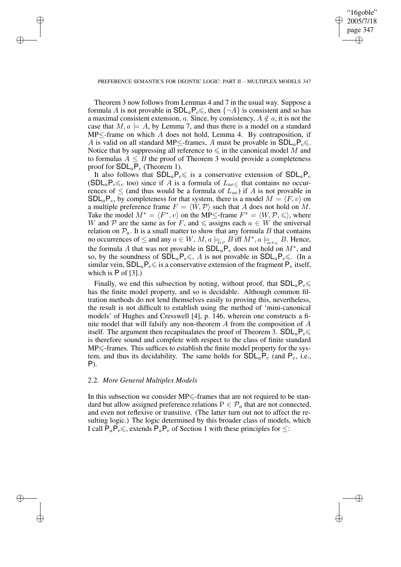✐

### PREFERENCE SEMANTICS FOR DEONTIC LOGIC: PART II – MULTIPLEX MODELS 347

Theorem 3 now follows from Lemmas 4 and 7 in the usual way. Suppose a formula A is not provable in  $SDL_aP_e \leq$ , then  $\{\neg A\}$  is consistent and so has a maximal consistent extension, a. Since, by consistency,  $A \notin \alpha$ , it is not the case that  $M, a \models A$ , by Lemma 7, and thus there is a model on a standard  $MP \leq$ -frame on which A does not hold, Lemma 4. By contraposition, if A is valid on all standard MP $\leq$ -frames, A must be provable in  $SDL_aP_e \leq$ . Notice that by suppressing all reference to  $\leq$  in the canonical model M and to formulas  $A \leq B$  the proof of Theorem 3 would provide a completeness proof for  $SDL_aP_e$  (Theorem 1).

It also follows that  $SDL_aP_e\leq$  is a conservative extension of  $SDL_aP_e$  $(SDL<sub>a</sub>P<sub>e</sub> \leq c$  too) since if A is a formula of  $L<sub>ae</sub> \leq t$  that contains no occurrences of  $\leq$  (and thus would be a formula of  $L_{ae}$ ) if A is not provable in  $SDL<sub>a</sub>P<sub>e</sub>$ , by completeness for that system, there is a model  $M = \langle F, v \rangle$  on a multiple preference frame  $F = \langle W, \mathcal{P} \rangle$  such that A does not hold on M. Take the model  $M^* = \langle F^*, v \rangle$  on the MP≤-frame  $F^* = \langle W, \mathcal{P}, \leq \rangle$ , where W and P are the same as for F, and  $\leq$  assigns each  $a \in W$  the universal relation on  $\mathcal{P}_a$ . It is a small matter to show that any formula B that contains no occurrences of  $\leq$  and any  $a \in W$ ,  $M$ ,  $a \models_{\overline{M}P} B$  iff  $M^*$ ,  $a \models_{\overline{M}P} B$ . Hence, the formula A that was not provable in  $SDL_aP_e$  does not hold on  $M^*$ , and so, by the soundness of  $SDL_aP_e \leq A$  is not provable in  $SDL_aP_e \leq A$ . (In a similar vein,  $SDL_aP_e\leq$  is a conservative extension of the fragment  $P_e$  itself, which is  $P$  of [3].)

Finally, we end this subsection by noting, without proof, that  $SDL_aP_e \leq$ has the finite model property, and so is decidable. Although common filtration methods do not lend themselves easily to proving this, nevertheless, the result is not difficult to establish using the method of 'mini-canonical models' of Hughes and Cresswell [4], p. 146, wherein one constructs a finite model that will falsify any non-theorem  $A$  from the composition of  $A$ itself. The argument then recapitualates the proof of Theorem 3.  $SDL_aP_e \leq$ is therefore sound and complete with respect to the class of finite standard  $MP \leq$ -frames. This suffices to establish the finite model property for the system, and thus its decidability. The same holds for  $SDL_aP_e$  (and  $P_e$ , i.e., P).

# 2.2. *More General Multiplex Models*

✐

✐

✐

✐

In this subsection we consider  $MP \leq$ -frames that are not required to be standard but allow assigned preference relations  $P \in \mathcal{P}_a$  that are not connected, and even not reflexive or transitive. (The latter turn out not to affect the resulting logic.) The logic determined by this broader class of models, which I call  $P_aP_e\leq$ , extends  $P_aP_e$  of Section 1 with these principles for  $\leq$ :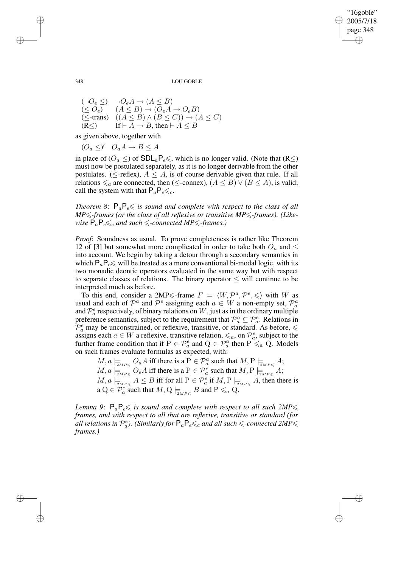"16goble" 2005/7/18 page 348 ✐ ✐

✐

✐

348 LOU GOBLE

$$
(\neg O_e \leq) \neg O_e A \rightarrow (A \leq B)
$$
  
\n
$$
(\leq O_e) \quad (A \leq B) \rightarrow (O_e A \rightarrow O_e B)
$$
  
\n
$$
(\leq
$$
-trans) 
$$
((A \leq B) \land (B \leq C)) \rightarrow (A \leq C)
$$
  
\n
$$
(R \leq) \quad \text{If } \vdash A \rightarrow B \text{, then } \vdash A \leq B
$$

as given above, together with

 $(O_a \leq)'$   $O_aA \to B \leq A$ 

in place of ( $O_a \leq$ ) of  $SDL_aP_e \leq$ , which is no longer valid. (Note that (R $\leq$ ) must now be postulated separately, as it is no longer derivable from the other postulates. ( $\leq$ -reflex),  $A \leq A$ , is of course derivable given that rule. If all relations  $\leq_a$  are connected, then (≤-connex), ( $A \leq B$ )  $\vee$  ( $B \leq A$ ), is valid; call the system with that  $P_aP_e \leq c$ .

*Theorem* 8:  $P_aP_e \leq$  *is sound and complete with respect to the class of all*  $MP \leq$ -frames (or the class of all reflexive or transitive  $MP \leq$ -frames). (Like*wise*  $P_a P_e \leq_c$  *and such*  $\leq$ *-connected MP* $\leq$ *-frames.*)

*Proof*: Soundness as usual. To prove completeness is rather like Theorem 12 of [3] but somewhat more complicated in order to take both  $O<sub>a</sub>$  and  $\leq$ into account. We begin by taking a detour through a secondary semantics in which  $P_aP_e \le$  will be treated as a more conventional bi-modal logic, with its two monadic deontic operators evaluated in the same way but with respect to separate classes of relations. The binary operator  $\leq$  will continue to be interpreted much as before.

To this end, consider a 2MP  $\leq$ -frame  $F = \langle W, \mathcal{P}^a, \mathcal{P}^e, \leq \rangle$  with W as usual and each of  $\mathcal{P}^a$  and  $\mathcal{P}^e$  assigning each  $a \in W$  a non-empty set,  $\mathcal{P}^a_a$ and  $\mathcal{P}_a^e$  respectively, of binary relations on W, just as in the ordinary multiple preference semantics, subject to the requirement that  $\mathcal{P}_a^a \subseteq \mathcal{P}_a^e$ . Relations in  $\mathcal{P}_a^e$  may be unconstrained, or reflexive, transitive, or standard. As before,  $\leq$ assigns each  $a \in W$  a reflexive, transitive relation,  $\leq_a$ , on  $\mathcal{P}^e_a$ , subject to the further frame condition that if  $P \in \mathcal{P}_a^e$  and  $Q \in \mathcal{P}_a^a$  then  $P \leq a \ Q$ . Models on such frames evaluate formulas as expected, with:

 $M, a \models_{\exists MP \leqslant} O_aA$  iff there is a  $P \in \mathcal{P}_a^a$  such that  $M, P \models_{\exists MP \leqslant} A;$  $M, a \models_{\exists MP \leqslant} O_eA$  iff there is a  $P \in \mathcal{P}_a^e$  such that  $M, P \models_{\exists MP \leqslant} A;$  $M$ ,  $a \models_{\mathbb{Z}_{MP \leqslant}} A \leq B$  iff for all  $P \in \mathcal{P}_a^e$  if  $M, P \models_{\mathbb{Z}_{MP \leqslant}} A$ , then there is a  $Q \in \mathcal{P}_a^e$  such that  $M, Q \models_{\exists M P \leqslant B} B$  and  $P \leqslant_a Q$ .

*Lemma* 9:  $P_aP_e \leq$  *is sound and complete with respect to all such 2MP* $\leq$ *frames, and with respect to all that are reflexive, transitive or standard (for* all relations in  $\mathcal{P}_a^e$ ). (Similarly for  $\mathsf{P}_a\mathsf{P}_e\leqslant_c$  and all such  $\leqslant$  -connected 2MP $\leqslant$ *frames.)*

✐

✐

✐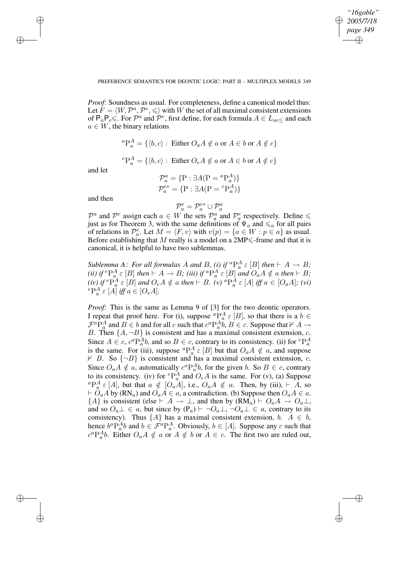✐

#### PREFERENCE SEMANTICS FOR DEONTIC LOGIC: PART II – MULTIPLEX MODELS 349

*Proof*: Soundness as usual. For completeness, define a canonical model thus: Let  $\tilde{F} = \langle W, \mathcal{P}^a, \mathcal{P}^e, \leqslant \rangle$  with W the set of all maximal consistent extensions of  $\mathsf{P}_a \mathsf{P}_e \leq \overline{\ }$ . For  $\mathcal{P}^a$  and  $\mathcal{P}^e$ , first define, for each formula  $A \in L_{ae \leq}$  and each  $a \in W$ , the binary relations

$$
{}^{a}P_{a}^{A} = \{ \langle b, c \rangle : \text{ Either } O_a A \notin a \text{ or } A \in b \text{ or } A \notin c \}
$$
  

$$
{}^{e}P_{a}^{A} = \{ \langle b, c \rangle : \text{ Either } O_e A \notin a \text{ or } A \in b \text{ or } A \notin c \}
$$

and let

✐

✐

✐

✐

$$
\mathcal{P}_a^a = \{ \mathbf{P} : \exists A(\mathbf{P} = {}^a \mathbf{P}_a^A) \}
$$

$$
\mathcal{P}_a^{e*} = \{ \mathbf{P} : \exists A(\mathbf{P} = {}^e \mathbf{P}_a^A) \}
$$

and then

$$
\mathcal{P}_a^e = \mathcal{P}_a^{e*} \cup \mathcal{P}_a^a
$$

 $\mathcal{P}^a$  and  $\mathcal{P}^e$  assign each  $a \in W$  the sets  $\mathcal{P}^a_a$  and  $\mathcal{P}^e_a$  respectively. Define  $\leq$ just as for Theorem 3, with the same definitions of  $\Psi_a$  and  $\leq_a$  for all pairs of relations in  $\mathcal{P}_a^e$ . Let  $M = \langle F, v \rangle$  with  $v(p) = \{a \in W : p \in a\}$  as usual. Before establishing that M really is a model on a  $2MP \leq$ -frame and that it is canonical, it is helpful to have two sublemmas.

*Sublemma A*: *For all formulas A and B, (i) if*  ${}^aP_a^A \varepsilon$  [B] *then*  $\vdash$  *A*  $\rightarrow$  *B*; *(ii) if*  ${}^eP_a^A \in [B]$  *then*  $\vdash A \to B$ ; *(iii) if*  ${}^aP_a^A \in [B]$  *and*  $O_aA \notin a$  *then*  $\vdash B$ ;  $(iv)$  *if*  ${}^e\mathrm{P}_a^A \varepsilon [B]$  and  $O_eA \notin a$  then  $\vdash B$ .  $(v)$   ${}^a\mathrm{P}_a^A \varepsilon [A]$  *iff*  $a \in [O_aA]$ ;  $(vi)$  ${}^e\mathbb{P}_a^A \varepsilon [A]$  *iff*  $a \in [O_eA]$ *.* 

*Proof*: This is the same as Lemma 9 of [3] for the two deontic operators. I repeat that proof here. For (i), suppose  ${}^aP_a^A \varepsilon [B]$ , so that there is a  $b \in$  $\mathcal{F}^a P_a^A$  and  $B \in b$  and for all c such that  $c^a P_a^A b$ ,  $B \in c$ . Suppose that  $\nvdash A \rightarrow$ B. Then  $\{A, \neg B\}$  is consistent and has a maximal consistent extension, c. Since  $A \in c$ ,  $c^a P_a^A b$ , and so  $B \in c$ , contrary to its consistency. (ii) for  ${}^e P_a^A$ is the same. For (iii), suppose  ${}^aP_a^A \varepsilon [B]$  but that  $O_aA \notin a$ , and suppose  $\nvdash$  B. So  $\{\neg B\}$  is consistent and has a maximal consistent extension, c. Since  $O_a A \notin a$ , automatically  $c^a P_a^A b$ , for the given b. So  $B \in c$ , contrary to its consistency. (iv) for  ${}^eP_a^A$  and  $O_eA$  is the same. For (v), (a) Suppose  ${}^aP_a^A \varepsilon[A]$ , but that  $a \notin [O_aA]$ , i.e.,  $O_aA \notin a$ . Then, by (iii),  $\vdash A$ , so  $\vdash \overset{\circ}{O}_aA$  by  $(RN_a)$  and  $\overset{\circ}{O}_aA \in a$ , a contradiction. (b) Suppose then  $O_aA \in a$ .  ${A}$  is consistent (else  $\vdash A \to \bot$ , and then by  $(RM_a) \vdash O_aA \to O_a\bot$ , and so  $O_a \perp \in a$ , but since by  $(P_a) \vdash \neg O_a \perp, \neg O_a \perp \in a$ , contrary to its consistency). Thus  $\{A\}$  has a maximal consistent extension, b.  $A \in b$ , hence  $b^a P_a^A b$  and  $b \in \mathcal{F}^a P_a^A$ . Obviously,  $b \in [A]$ . Suppose any c such that  $c^a P_a^A b$ . Either  $O_a A \notin a$  or  $A \notin b$  or  $A \in c$ . The first two are ruled out,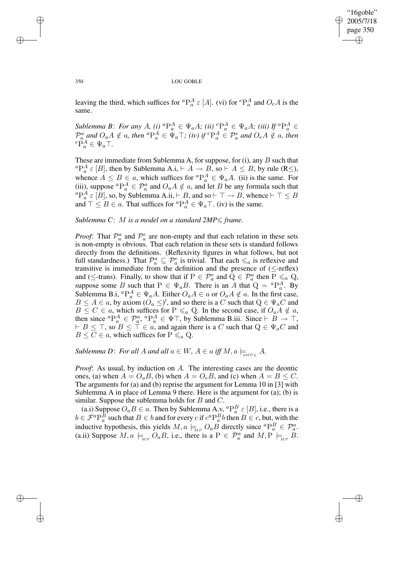✐

#### 350 LOU GOBLE

leaving the third, which suffices for  ${}^aP_a^A \varepsilon[A]$ . (vi) for  ${}^eP_a^A$  and  $O_eA$  is the same.

*Sublemma B*: *For any A*, *(i)*  ${}^aP_a^A \in \Psi_aA$ ; *(ii)*  ${}^eP_a^A \in \Psi_aA$ ; *(iii) If*  ${}^aP_a^A \in$  $\mathcal{P}_a^a$  and  $O_aA \notin a$ , then  ${}^a\mathcal{P}_a^A \in \Psi_a\top$ ; *(iv)* if  ${}^e\mathcal{P}_a^A \in \mathcal{P}_a^e$  and  $O_eA \notin a$ , then  ${}^e\mathbf{P}_a^A \in \Psi_a\mathsf{T}$ .

These are immediate from Sublemma A, for suppose, for  $(i)$ , any  $B$  such that  ${}^aP_a^A \varepsilon [B]$ , then by Sublemma A.i,  $\vdash A \rightarrow B$ , so  $\vdash A \leq B$ , by rule (R $\leq$ ), whence  $A \leq B \in a$ , which suffices for  ${}^aP_a^A \in \Psi_a A$ . (ii) is the same. For (iii), suppose  ${}^aP_a^A \in \mathcal{P}_a^a$  and  $O_aA \notin a$ , and let B be any formula such that  ${}^aP_a^A \varepsilon [B]$ , so, by Sublemma A.ii,  $\vdash B$ , and so  $\vdash \top \rightarrow B$ , whence  $\vdash \top \leq B$ and  $\top \leq B \in a$ . That suffices for  ${}^aP_a^A \in \Psi_a \top$ . (iv) is the same.

# *Sublemma C*: M *is a model on a standard 2MP*6 *frame.*

*Proof*: That  $\mathcal{P}_a^a$  and  $\mathcal{P}_a^e$  are non-empty and that each relation in these sets is non-empty is obvious. That each relation in these sets is standard follows directly from the definitions. (Reflexivity figures in what follows, but not full standardness.) That  $\mathcal{P}_a^a \subseteq \mathcal{P}_a^e$  is trivial. That each  $\leq_a$  is reflexive and transitive is immediate from the definition and the presence of  $(\leq$ -reflex) and ( $\le$ -trans). Finally, to show that if  $P \in \mathcal{P}_a^e$  and  $\hat{Q} \in \mathcal{P}_a^a$  then  $P \leq a Q$ , suppose some B such that  $P \in \Psi_a B$ . There is an A that  $Q = {}^aP_a^A$ . By Sublemma B.i,  ${}^aP_a^A \in \Psi_a A$ . Either  $O_aA \in a$  or  $O_aA \notin a$ . In the first case,  $B \le A \in \mathfrak{a}$ , by axiom  $(O_a \le)'$ , and so there is a C such that  $Q \in \Psi_a C$  and  $B \le C \in a$ , which suffices for  $P \le a$ , Q. In the second case, if  $O_a A \notin a$ , then since  ${}^aP_a^A \in \mathcal{P}_a^a$ ,  ${}^aP_a^A \in \Psi \top$ , by Sublemma B.iii. Since  $\vdash B \to \top$ ,  $\vdash B \leq \top$ , so  $B \leq \top \in a$ , and again there is a C such that  $Q \in \Psi_a C$  and  $B \leq C \in \mathfrak{a}$ , which suffices for  $P \leq a Q$ .

*Sublemma D: For all A and all*  $a \in W$ ,  $A \in a$  *iff*  $M$ ,  $a \models_{\mathit{2MPS}} A$ .

*Proof*: As usual, by induction on A. The interesting cases are the deontic ones, (a) when  $A = O_a B$ , (b) when  $A = O_e B$ , and (c) when  $A = B \leq C$ . The arguments for (a) and (b) reprise the argument for Lemma 10 in [3] with Sublemma A in place of Lemma 9 there. Here is the argument for (a); (b) is similar. Suppose the sublemma holds for  $B$  and  $C$ .

(a.i) Suppose  $O_a B \in a$ . Then by Sublemma A.v,  ${}^aP_a^B \varepsilon [B]$ , i.e., there is a  $b \in \mathcal{F}^a P_a^B$  such that  $B \in b$  and for every  $c$  if  $c^a P_a^B b$  then  $B \in c$ , but, with the inductive hypothesis, this yields  $M, a \models_{\stackrel{\scriptstyle NP}{M}} O_aB$  directly since  ${}^aP_a^B \in \mathcal{P}_a^a$ . (a.ii) Suppose  $M, a \models_{MP} O_aB$ , i.e., there is a  $P \in \mathcal{P}_a^a$  and  $M, P \models_{MP} B$ .

✐

✐

✐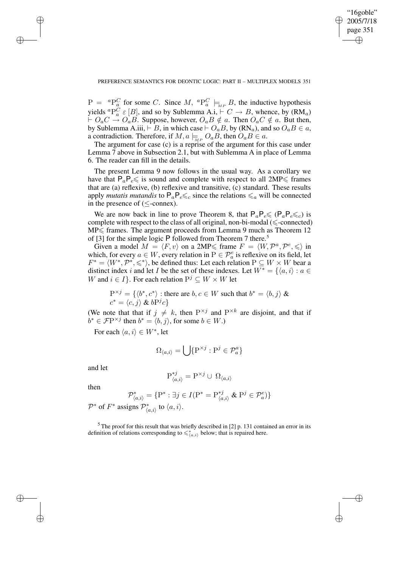✐

## PREFERENCE SEMANTICS FOR DEONTIC LOGIC: PART II – MULTIPLEX MODELS 351

 $P = {}^{a}P_{a}^{C}$  for some C. Since M,  ${}^{a}P_{a}^{C} \models_{MP} B$ , the inductive hypothesis yields  ${}^aP_a^C \varepsilon [B]$ , and so by Sublemma A.i,  $\vdash C \to B$ , whence, by  $(\mathbf{RM}_a)$  $\vdash O_aC \rightarrow O_aB$ . Suppose, however,  $O_aB \notin a$ . Then  $O_aC \notin a$ . But then, by Sublemma A.iii,  $\vdash B$ , in which case  $\vdash O_aB$ , by  $(\mathsf{RN}_a)$ , and so  $O_aB \in a$ , a contradiction. Therefore, if  $M$ ,  $a \models_{M} O_a B$ , then  $O_a B \in a$ .

The argument for case (c) is a reprise of the argument for this case under Lemma 7 above in Subsection 2.1, but with Sublemma A in place of Lemma 6. The reader can fill in the details.

The present Lemma 9 now follows in the usual way. As a corollary we have that  $P_aP_e\leq$  is sound and complete with respect to all  $2MP\leq$  frames that are (a) reflexive, (b) reflexive and transitive, (c) standard. These results apply *mutatis mutandis* to  $P_a P_e \leq_c$  since the relations  $\leq_a$  will be connected in the presence of (≤-connex).

We are now back in line to prove Theorem 8, that  $P_aP_e \leq (P_aP_e \leq_c)$  is complete with respect to the class of all original, non-bi-modal ( $\leq$ -connected)  $MP \leq$  frames. The argument proceeds from Lemma 9 much as Theorem 12 of [3] for the simple logic P followed from Theorem 7 there.<sup>5</sup>

Given a model  $M = \langle F, v \rangle$  on a 2MP $\leq$  frame  $F = \langle W, \mathcal{P}^a, \mathcal{P}^e, \leq \rangle$  in which, for every  $a \in W$ , every relation in  $P \in \mathcal{P}_a^e$  is reflexive on its field, let  $F^* = \langle W^*, \mathcal{P}^*, \leq \rangle$ , be defined thus: Let each relation  $P \subseteq W \times W$  bear a distinct index i and let I be the set of these indexes. Let  $W^* = \{ \langle a, i \rangle : a \in$ W and  $i \in I$ . For each relation  $P^j \subseteq W \times W$  let

$$
P^{\times j} = \{ \langle b^*, c^* \rangle : \text{there are } b, c \in W \text{ such that } b^* = \langle b, j \rangle \& c^* = \langle c, j \rangle \& bP^j c \}
$$

(We note that that if  $j \neq k$ , then  $P^{\times j}$  and  $P^{\times k}$  are disjoint, and that if  $b^* \in \mathcal{F} \mathcal{P}^{\times j}$  then  $b^* = \langle b, j \rangle$ , for some  $b \in W$ .)

For each  $\langle a, i \rangle \in W^*$ , let

$$
\Omega_{\langle a,i\rangle} = \bigcup \{ \mathbf{P}^{\times j} : \mathbf{P}^j \in \mathcal{P}_a^a \}
$$

and let

✐

✐

✐

✐

$$
\mathrm{P}_{\langle a,i\rangle}^{*j}=\mathrm{P}^{\times j}\cup\ \Omega_{\langle a,i\rangle}
$$

then

$$
\mathcal{P}_{\langle a,i\rangle}^* = \{\mathbf{P}^* : \exists j \in I (\mathbf{P}^* = \mathbf{P}_{\langle a,i\rangle}^{*j} \mathbf{\&} \mathbf{P}^j \in \mathcal{P}_a^e)\}\
$$

 $\mathcal{P}^*$  of  $F^*$  assigns  $\mathcal{P}^*_{\langle a,i\rangle}$  to  $\langle a,i\rangle$ .

 $5$  The proof for this result that was briefly described in [2] p. 131 contained an error in its definition of relations corresponding to  $\leq \check{\zeta}_{(a,i)}$  below; that is repaired here.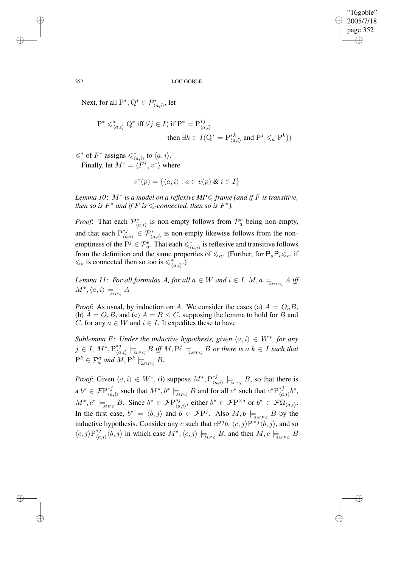"16goble" 2005/7/18 page 352 ✐ ✐

✐

✐

352 LOU GOBLE

Next, for all  $P^*, Q^* \in \mathcal{P}^*_{\langle a,i\rangle}$ , let

$$
P^* \leqslant^*_{\langle a,i\rangle} Q^* \text{ iff } \forall j \in I \text{ (if } P^* = P^{*j}_{\langle a,i\rangle} \text{ then } \exists k \in I \text{ } (Q^* = P^{*k}_{\langle a,i\rangle} \text{ and } P^j \leqslant_a P^k))
$$

 $\leq$ \* of  $F^*$  assigns  $\leq \nmid_{\langle a,i \rangle}$  to  $\langle a,i \rangle$ . Finally, let  $M^* = \langle F^*, v^* \rangle$  where

$$
v^*(p) = \{ \langle a, i \rangle : a \in v(p) \& i \in I \}
$$

*Lemma 10*: M<sup>∗</sup> *is a model on a reflexive MP*6*-frame (and if* F *is transitive, then* so is  $F^*$  and if  $F$  is  $\leq$ -connected, then so is  $F^*$ ).

*Proof*: That each  $\mathcal{P}_{(a,i)}^*$  is non-empty follows from  $\mathcal{P}_a^e$  being non-empty, and that each  $P_{\ell q}^{*j}$  $\chi_{\langle a,i\rangle}^{*j}$  ∈  $\mathcal{P}_{\langle a,i\rangle}^{*}$  is non-empty likewise follows from the nonemptiness of the  $P^j \in \mathcal{P}_a^e$ . That each  $\leq \check{\zeta}_{(a,i)}$  is reflexive and transitive follows from the definition and the same properties of  $\leq a$ . (Further, for  $P_aP_e\leq_c$ , if  $\leq_a$  is connected then so too is  $\leq \binom{*}{\langle a,i \rangle}$ .

Lemma 11: For all formulas A, for all  $a \in W$  and  $i \in I$ ,  $M, a \models_{_{\scriptscriptstyle\mathcal{M} P \leqslant}} A$  iff  $M^*,\langle a,i\rangle \models_{\overline{MP}\leqslant} A$ 

*Proof*: As usual, by induction on A. We consider the cases (a)  $A = O_a B$ , (b)  $A = O_e B$ , and (c)  $A = B \le C$ , supposing the lemma to hold for B and C, for any  $a \in W$  and  $i \in I$ . It expedites these to have

*Sublemma E*: *Under the inductive hypothesis, given*  $\langle a, i \rangle \in W^*$ , *for any* j ∈ *I*,  $M^*, P_{lq}^{*j}$  $\bigcup_{\langle a,i \rangle}^{*,j} \models_{_{MF \leqslant}} B \text{ iff } M, P^j \models_{_{2MP \leqslant}} B \text{ or there is a } k \in I \text{ such that}$  $P^k \in \mathcal{P}_a^a$  and  $M, P^k \models_{\mathbb{P}^{M}P \leqslant} B$ .

*Proof*: Given  $\langle a, i \rangle \in W^*$ , (i) suppose  $M^*, P_{\langle a \rangle}^{*j}$  $\bigcup_{\langle a,i\rangle}^{*j} \models_{\text{MPs}} B$ , so that there is a  $b^* \in \mathcal{F} \mathrm{P}^{*j}_{\iota_a}$ <sup>\**j*</sup> such that  $M^*$ ,  $b^*$   $\models$ <sub>MP≤</sub> B and for all  $c^*$  such that  $c^*P_{(a)}^{*j}$  $_{\langle a,i\rangle}^{\ast j}b^{\ast},$  $M^*, c^* \models_{\overline{MP\leqslant}} B$ . Since  $b^* \in \mathcal{F}\mathrm{P}^{*j}_{\langle a \rangle}$  $\langle A, i \rangle$ , either  $b^*$  ∈  $\mathcal{F}$ P<sup>×j</sup> or  $b^*$  ∈  $\mathcal{F}$ Ω $\langle a, i \rangle$ . In the first case,  $b^* = \langle b, j \rangle$  and  $b \in \mathcal{F}P^j$ . Also  $M, b \models_{2_{MP \leqslant}} B$  by the inductive hypothesis. Consider any c such that  $cP^{j}b$ .  $\langle c, j \rangle P^{\times j} \langle b, j \rangle$ , and so  $\langle c, j \rangle \mathcal{P}_{\ell_a}^{*j}$  $\langle h, i \rangle_{\langle a,i \rangle} \langle b, j \rangle$  in which case  $M^*, \langle c, j \rangle \models_{\text{MPs}} B$ , and then  $M, c \models_{\text{MPs}} B$ 

✐

✐

✐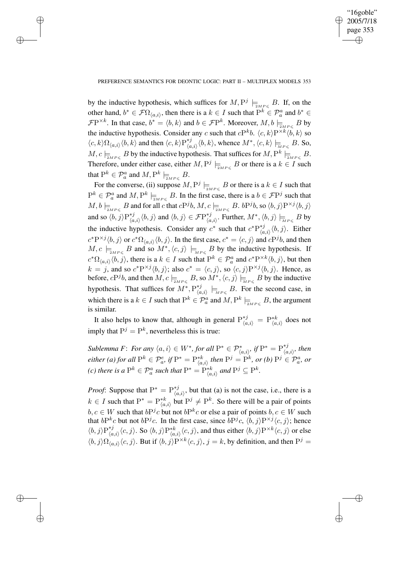✐

# PREFERENCE SEMANTICS FOR DEONTIC LOGIC: PART II – MULTIPLEX MODELS 353

✐

✐

✐

✐

by the inductive hypothesis, which suffices for  $M$ ,  $P^j \models_{\mathbb{Z}_{MP \leqslant B} B} B$ . If, on the other hand,  $b^* \in \mathcal{F}\Omega_{\langle a,i\rangle}$ , then there is a  $k \in I$  such that  $P^k \in \mathcal{P}^a_a$  and  $b^* \in$  $\mathcal{F}P^{\times k}$ . In that case,  $b^* = \langle b, k \rangle$  and  $b \in \mathcal{F}P^k$ . Moreover,  $M, b \models_{\exists M P \leq B} B$  by the inductive hypothesis. Consider any c such that  $cP^kb$ .  $\langle c, k \rangle P^{\times k} \langle b, k \rangle$  so  $\langle c, k \rangle \Omega_{\langle a,i \rangle} \langle b, k \rangle$  and then  $\langle c, k \rangle P_{\langle a}^{*j}$  $\langle A, i \rangle \langle b, k \rangle$ , whence  $M^*$ ,  $\langle c, k \rangle \models_{\overline{M}P\leqslant} B$ . So,  $M, c \models_{\text{2MPS}} B$  by the inductive hypothesis. That suffices for  $M, P^k \models_{\text{2MPS}} B$ . Therefore, under either case, either  $M$ ,  $P^j \models_{\mathbb{Z}_{MP\leqslant}} B$  or there is a  $k \in I$  such that  $\mathrm{P}^k\in \mathcal{P}^a_a$  and  $M,\mathrm{P}^k\models_{\overline{\scriptscriptstyle \supseteq} M P^\leqslant} B.$ 

For the converse, (ii) suppose  $M$ ,  $P^j \models_{\mathbb{Z}MP \leq \mathbb{Z}} B$  or there is a  $k \in I$  such that  $P^k \in \mathcal{P}_a^a$  and  $M, P^k \models_{\text{2MPS}} B$ . In the first case, there is a  $b \in \mathcal{F}P^j$  such that  $M, b \models_{\exists_{MP} \leqslant} B$  and for all c that  $cP^j b$ ,  $M, c \models_{\exists_{MP} \leqslant} B$ .  $bP^j b$ , so  $\langle b, j \rangle P^{\times j} \langle b, j \rangle$ and so  $\langle b, j \rangle P_{i,q}^{*j}$  $\langle a,i \rangle \langle b,j \rangle$  and  $\langle b,j \rangle \in \mathcal{F}P^{*j}_{\langle a \rangle}$  $\chi_{\langle a,i\rangle}^{*,j}$ . Further,  $M^*,\langle b,j\rangle \models_{\overline{M}P\leqslant} B$  by the inductive hypothesis. Consider any  $c^*$  such that  $c^*P_{\alpha}^{*j}$  $\langle a, i \rangle \langle b, j \rangle$ . Either  $c^*P^{\times j}\langle b, j\rangle$  or  $c^*\Omega_{\langle a, i\rangle}\langle b, j\rangle$ . In the first case,  $c^* = \langle c, j\rangle$  and  $cP^j b$ , and then  $M, c \models_{\text{MPS}} B$  and so  $M^*, \langle c, j \rangle \models_{\text{MPS}} B$  by the inductive hypothesis. If  $c^*\Omega_{\langle a,i\rangle}\langle b,j\rangle$ , there is a  $k \in I$  such that  $P^k \in \mathcal{P}_a^a$  and  $c^*P^{\times k}\langle b,j\rangle$ , but then  $k = j$ , and so  $c^* P^{\times j} \langle b, j \rangle$ ; also  $c^* = \langle c, j \rangle$ , so  $\langle c, j \rangle P^{\times j} \langle b, j \rangle$ . Hence, as before,  $cP^j b$ , and then  $M, c \models_{\overline{\Delta}MP \leqslant} B$ , so  $M^*, \langle c, j \rangle \models_{\overline{MP} \leqslant} B$  by the inductive hypothesis. That suffices for  $M^*, P^{*j}_{\ell q}$  $\bigwedge_{\langle a,i \rangle}^{\ast} \models_{\textit{MP} \in B} B$ . For the second case, in which there is a  $k \in I$  such that  $P^k \in \mathcal{P}^a_a$  and  $M, P^k \models_{\exists M P \leq D} B$ , the argument is similar.

It also helps to know that, although in general  $P_{(a,i)}^{*j} = P_{(a,i)}^{*k}$  does not imply that  $P^j = P^k$ , nevertheless this is true:

*Sublemma F*: *For any*  $\langle a, i \rangle \in W^*$ , *for all*  $P^* \in \mathcal{P}^*_{\langle a,i \rangle}$ , *if*  $P^* = P^{*j}_{\langle a, i \rangle}$  $_{\langle a,i\rangle}^{\ast j},$  then  $e$ *ither (a) for all*  $\mathrm{P}^k \in \mathcal{P}^e_a$ , *if*  $\mathrm{P}^* = \mathrm{P}^{*k}_{\langle a,i\rangle}$  *then*  $\mathrm{P}^j = \mathrm{P}^k$ , *or (b)*  $\mathrm{P}^j \in \mathcal{P}^a_a$ , *or (c)* there is a  $P^k \in \mathcal{P}_a^a$  such that  $P^* = P^{*k}_{\langle a,i \rangle}$  and  $P^j \subseteq P^k$ .

*Proof*: Suppose that  $P^* = P^{*j}_{\{a\}}$  $\chi^*_{(a,i)}$ , but that (a) is not the case, i.e., there is a  $k \in I$  such that  $\mathbf{P}^* = \mathbf{P}_{\langle a,i \rangle}^{*k}$  but  $\mathbf{P}^j \neq \mathbf{P}^k$ . So there will be a pair of points  $b, c \in W$  such that  $bP^j c$  but not  $bP^k c$  or else a pair of points  $b, c \in W$  such that  $bP^kc$  but not  $bP^jc$ . In the first case, since  $bP^jc$ ,  $\langle b, j \rangle P^{\times j} \langle c, j \rangle$ ; hence  $\langle b, j \rangle \mathbf{P}_{\ell q}^{*j}$  $\langle a,j \rangle \langle c,j \rangle$ . So  $\langle b,j \rangle P^{*k}_{\langle a,i \rangle} \langle c,j \rangle$ , and thus either  $\langle b,j \rangle P^{\times k} \langle c,j \rangle$  or else  $\langle b, j \rangle \Omega_{\langle a, i \rangle} \langle c, j \rangle$ . But if  $\langle b, j \rangle P^{\times k} \langle c, j \rangle$ ,  $j = k$ , by definition, and then  $P^j =$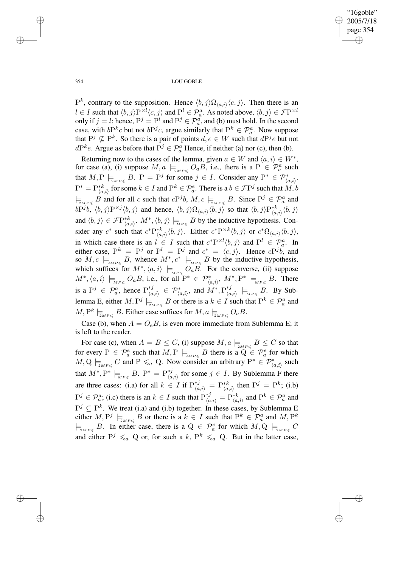"16goble" 2005/7/18 page 354 ✐ ✐

✐

✐

354 LOU GOBLE

 $P^k$ , contrary to the supposition. Hence  $\langle b, j \rangle \Omega_{\langle a,i \rangle} \langle c, j \rangle$ . Then there is an  $l \in I$  such that  $\langle b, j \rangle P^{\times l} \langle c, j \rangle$  and  $P^l \in \mathcal{P}_a^a$ . As noted above,  $\langle b, j \rangle \in \mathcal{F}P^{\times l}$ only if  $j = l$ ; hence,  $P^j = P^l$  and  $P^j \in \mathcal{P}_a^a$ , and (b) must hold. In the second case, with  $bP^k c$  but not  $bP^j c$ , argue similarly that  $P^k \in \mathcal{P}_a^a$ . Now suppose that  $P^j \nsubseteq P^k$ . So there is a pair of points  $d, e \in W$  such that  $dP^j e$  but not  $dP^k e$ . Argue as before that  $P^j \in \mathcal{P}_a^a$  Hence, if neither (a) nor (c), then (b).

Returning now to the cases of the lemma, given  $a \in W$  and  $\langle a, i \rangle \in W^*$ , for case (a), (i) suppose  $M, a \models_{2MP \leq} O_a B$ , i.e., there is a  $P \in \mathcal{P}_a^a$  such that  $M, P \models_{\mathbb{Z}_{MP \leqslant}} B$ .  $P = P^j$  for some  $j \in I$ . Consider any  $P^* \in \mathcal{P}_{\langle a,i \rangle}^*$ .  $P^* = P^{*k}_{\langle a,i\rangle}$  for some  $k \in I$  and  $P^k \in \mathcal{P}^e_a$ . There is a  $b \in \mathcal{F}P^j$  such that  $M, b$  $\models_{\exists_{MP\leqslant}} B$  and for all c such that  $cP^j b$ ,  $M, c \models_{\exists_{MP\leqslant}} B$ . Since  $P^j \in \mathcal{P}_a^a$  and  $bP^j b, \langle b, j \rangle P^{\times j} \langle b, j \rangle$  and hence,  $\langle b, j \rangle \Omega_{\langle a, i \rangle} \langle b, j \rangle$  so that  $\langle b, j \rangle P^{*k}_{\langle a, i \rangle} \langle b, j \rangle$ and  $\langle b, j \rangle \in \mathcal{F}P^{*k}_{\langle a,i \rangle}$ .  $M^*, \langle b, j \rangle \models_{\overline{M}P\leqslant} B$  by the inductive hypothesis. Consider any  $c^*$  such that  $c^* P_{\langle a,i \rangle}^{*k} \langle b,j \rangle$ . Either  $c^* P^{\times k} \langle b,j \rangle$  or  $c^* \Omega_{\langle a,i \rangle} \langle b,j \rangle$ , in which case there is an  $l \in I$  such that  $c^* P^{\times l} \langle b, j \rangle$  and  $P^l \in \mathcal{P}_a^a$ . In either case,  $P^k = P^j$  or  $P^l = P^j$  and  $c^* = \langle c, j \rangle$ . Hence  $cP^j b$ , and so  $M, c \models_{\text{2MPS}} B$ , whence  $M^*, c^* \models_{\text{MPS}} B$  by the inductive hypothesis, which suffices for  $M^*, \langle a, i \rangle \models_{MP \leq Q_a} O_a B$ . For the converse, (ii) suppose  $M^*,\langle a,i\rangle \models_{_{MP\leqslant}} O_aB$ , i.e., for all  $P^* \in \mathcal{P}^*_{\langle a,i\rangle}, M^*,P^* \models_{_{MP\leqslant}} B$ . There is a  $P^j \in \mathcal{P}_a^a$ , hence  $P_{\langle a}^{*j}$  $\begin{array}{rcl} \gamma^{*j}_{\langle a,i\rangle} & \in & \mathcal{P}_{\langle a,i\rangle}^{*}, \text{ and } M^{*}, \mathrm{P}_{\langle a,\rangle}^{*j} \end{array}$  $\begin{array}{rcl} \n \ast \jmath & \models_{_{MP\leqslant}} B. \end{array}$  By Sublemma E, either  $M, P^j \models_{\exists_{MP \leqslant} B$  or there is a  $k \in I$  such that  $P^k \in \mathcal{P}^a_a$  and  $M, P^k \models_{\overline{\scriptscriptstyle 2M}P \leqslant} B$ . Either case suffices for  $M, a \models_{\overline{\scriptscriptstyle 2M}P \leqslant} O_aB$ .

Case (b), when  $A = O_e B$ , is even more immediate from Sublemma E; it is left to the reader.

For case (c), when  $A = B \le C$ , (i) suppose  $M$ ,  $a \models_{2MP \le} B \le C$  so that for every  $P \in \mathcal{P}_a^e$  such that  $M, P \models_{\exists M_P \leqslant B} B$  there is a  $\widetilde{Q} \in \mathcal{P}_a^e$  for which  $M, Q \models_{\mathit{2MPS}} C$  and  $P \leq a Q$ . Now consider an arbitrary  $P^* \in \mathcal{P}_{\langle a,i \rangle}^*$  such that  $M^*, P^* \models_{_{MP\leqslant}} B$ .  $P^* = P_{\langle a \rangle}^{*j}$  $\chi_{\langle a,i\rangle}^{*j}$  for some  $j \in I$ . By Sublemma F there are three cases: (i.a) for all  $k \in I$  if  $\mathbb{P}_{\langle a,i \rangle}^{*j} = \mathbb{P}_{\langle a,i \rangle}^{*k}$  then  $\mathbb{P}^{j} = \mathbb{P}^{k}$ ; (i.b)  $P^j \in \mathcal{P}_a^a$ ; (i.e) there is an  $k \in I$  such that  $P_{\langle a,i \rangle}^{*j} = P_{\langle a,i \rangle}^{*k}$  and  $P^k \in \mathcal{P}_a^a$  and  $P^j \subseteq P^k$ . We treat (i.a) and (i.b) together. In these cases, by Sublemma E either  $M, P^j \models_{\mathfrak{z}_{MP \leqslant}} B$  or there is a  $k \in I$  such that  $P^k \in \mathcal{P}_a^a$  and  $M, P^k$  $\models_{2MP \leqslant} B$ . In either case, there is a  $Q \in \mathcal{P}_a^e$  for which  $M, Q \models_{2MP \leqslant} C$ and either  $P^j \leq a Q$  or, for such a k,  $P^k \leq a Q$ . But in the latter case,

✐

✐

✐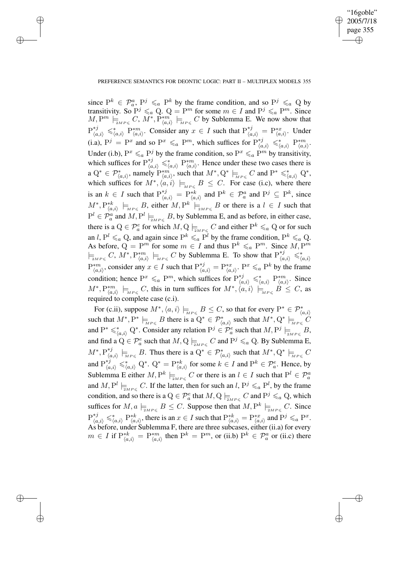✐

## PREFERENCE SEMANTICS FOR DEONTIC LOGIC: PART II – MULTIPLEX MODELS 355

✐

✐

✐

✐

since  $P^k \in \mathcal{P}_a^a$ ,  $P^j \leq_a P^k$  by the frame condition, and so  $P^j \leq_a Q$  by transitivity. So  $P^j \leq_a Q$ .  $Q = P^m$  for some  $m \in I$  and  $P^j \leq_a P^m$ . Since  $M, P^m \models_{\scriptscriptstyle \mathcal{M}^P \leq C} C, M^*, P^*_{\langle a,i \rangle} \models_{\scriptscriptstyle \mathcal{M}^P \leq C} C$  by Sublemma E. We now show that  $P_{\langle a,i\rangle}^{*j} \leq \langle a,i\rangle P_{\langle a,i\rangle}^{*m}$ . Consider any  $x \in I$  such that  $P_{\langle a,i\rangle}^{*j} = P_{\langle a,i\rangle}^{*x}$ . Under (i.a),  $P^j = P^x$  and so  $P^x \leq_a P^m$ , which suffices for  $P_{(a,i)}^{*j} \leq_{(a,i)}^* P_{(a,i)}^{*m}$ . Under (i.b),  $P^x \leq_a P^j$  by the frame condition, so  $P^x \leq_a P^m$  by transitivity, which suffices for  $P_{(a,i)}^{*j} \leq \binom{n}{a,i} P_{(a,i)}^{*m}$ . Hence under these two cases there is a  $Q^* \in \mathcal{P}^*_{\langle a,i\rangle}$ , namely  $P^{*m'}_{\langle a,i\rangle}$ , such that  $M^*, Q^* \models_{\text{MP} \leq C$  and  $P^* \leq \preceq_{\langle a,i\rangle}^* Q^*$ , which suffices for  $M^*, \langle a, i \rangle \models_{MP \leq B} B \leq C$ . For case (i.c), where there is an  $k \in I$  such that  $P_{(a,i)}^{*j} = P_{(a,i)}^{*k}$  and  $P^k \in \mathcal{P}_a^a$  and  $P^j \subseteq P^k$ , since  $(M^*,P_{\langle a,i\rangle}^{*k} \models_{\textit{MP}\leq B$ , either  $M, P^k \models_{\textit{MP}\leq B} B$  or there is a  $l \in I$  such that  $P^l \in \mathcal{P}_a^a$  and  $M, P^l \models_{\exists M P \leqslant B} B$ , by Sublemma E, and as before, in either case, there is a  $Q \in \mathcal{P}_a^e$  for which  $M, Q \models_{\mathfrak{D}MP \leq C} C$  and either  $P^k \leq_a Q$  or for such an l,  $P^l \leq a \text{ Q}$ , and again since  $P^k \leq a P^l$  by the frame condition,  $P^k \leq a \text{ Q}$ . As before,  $Q = P^m$  for some  $m \in I$  and thus  $P^k \leq a P^m$ . Since  $M, P^m$  $\models_{\exists_{MP\leqslant}} C$ ,  $M^*, P^{*m}_{\langle a,i\rangle} \models_{\exists_{MP\leqslant}} C$  by Sublemma E. To show that  $P^{*j}_{\langle a,i\rangle} \leq \frac{\epsilon}{\langle a,i\rangle}$  $P_{(a,i)}^{*m}$ , consider any  $x \in I$  such that  $P_{(a,i)}^{*j} = P_{(a,i)}^{*x}$ .  $P^x \le a P^k$  by the frame condition; hence  $P^x \leq_a P^m$ , which suffices for  $P_{(a,i)}^{*j} \leq_{(a,i)}^* P_{(a,i)}^{*m}$ . Since  $(M^*,P_{\langle a,i\rangle}^{*m}\models_{\textit{MP}\leqslant} C$ , this in turn suffices for  $M^*,\langle a,i\rangle\models_{\textit{MP}\leqslant} B\leqslant C$ , as required to complete case (c.i).

For (c.ii), suppose  $M^*, \langle a, i \rangle \models_{\overline{M}P \leqslant} B \leq C$ , so that for every  $P^* \in \mathcal{P}^*_{\langle a, i \rangle}$ such that  $M^*, P^* \models_{MP \leq B$  there is a  $Q^* \in \mathcal{P}^*_{\langle a,i \rangle}$  such that  $M^*, Q^* \models_{MP \leq C} C$ and  $P^* \leq^*_{\langle a,i\rangle} Q^*$ . Consider any relation  $P^j \in \mathcal{P}^e_a$  such that  $M, P^j \models_{\exists_{MP \leq}} B$ , and find a  $Q \in \mathcal{P}_a^e$  such that  $M,Q \models_{\overline{2}MP \leqslant} C$  and  $\mathrm{P}^j \leqslant_a Q$ . By Sublemma E,  $M^*,\operatorname{P}_{\ell_a}^{*j}$ \**i*</sup>,  $\downarrow$ <sub>{a,*i*}</sub>  $\models$ <sub>*MP*≤</sub> *B*. Thus there is a Q<sup>\*</sup> ∈  $\mathcal{P}^*_{\langle a,i\rangle}$  such that  $M^*$ , Q<sup>\*</sup>  $\models$ <sub>*MP*≤</sub> *C* and  $P_{(a,i)}^{*j} \leqslant^*_{\langle a,i\rangle} Q^*$ .  $Q^* = P_{\langle a,i\rangle}^{*k}$  for some  $k \in I$  and  $P^k \in \mathcal{P}_a^e$ . Hence, by Sublemma E either  $M, P^k \models_{\mathbb{Z}_{MP \leqslant}} C$  or there is an  $l \in I$  such that  $P^l \in \mathcal{P}_a^a$ and  $M, P^l \models_{\overline{\Delta}MP \leqslant} C$ . If the latter, then for such an  $l, P^j \leqslant_a P^l$ , by the frame condition, and so there is a  $Q \in \mathcal{P}_a^e$  that  $M, Q \models_{\exists M P \leq C} C$  and  $P^j \leq_a Q$ , which suffices for  $M$ ,  $a \models_{\text{2MPS}} B \leq C$ . Suppose then that  $M$ ,  $\mathcal{P}^k \models_{\text{2MPS}} C$ . Since  $P_{\langle a,i\rangle}^{*j} \leq \langle a,i\rangle P_{\langle a,i\rangle}^{*k}$ , there is an  $x \in I$  such that  $P_{\langle a,i\rangle}^{*k} = P_{\langle a,i\rangle}^{*x}$  and  $P^j \leq a P^x$ . As before, under Sublemma F, there are three subcases, either (ii.a) for every  $m \in I$  if  $P_{\langle a,i \rangle}^{*k} = P_{\langle a,i \rangle}^{*m}$  then  $P^k = P^m$ , or (ii.b)  $P^k \in \mathcal{P}_a^a$  or (ii.c) there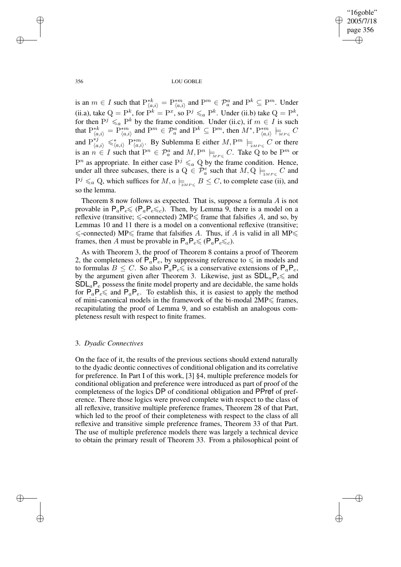"16goble" 2005/7/18 page 356 ✐ ✐

✐

✐

356 LOU GOBLE

is an  $m \in I$  such that  $P_{(a,i)}^{*k} = P_{(a,i)}^{*m}$  and  $P^m \in \mathcal{P}_a^a$  and  $P^k \subseteq P^m$ . Under (ii.a), take  $Q = P^k$ , for  $P^k = P^x$ , so  $P^j \leq_a P^k$ . Under (ii.b) take  $Q = P^k$ , for then  $P^j \leq_a P^k$  by the frame condition. Under (ii.c), if  $m \in I$  is such that  $P_{\langle a,i\rangle}^{*k} = P_{\langle a,i\rangle}^{*m}$  and  $P^m \in \mathcal{P}_a^a$  and  $P^k \subseteq P^m$ , then  $M^*, P_{\langle a,i\rangle}^{*m} \models_{\text{MPs}} C$ and  $P_{(a,i)}^{*j} \leq \frac{k!}{(a,i)} P_{(a,i)}^{*m}$ . By Sublemma E either  $M, P^m \models_{\exists MP \leqslant} C$  or there is an  $n \in I$  such that  $P^n \in \mathcal{P}_a^n$  and  $M, P^n \models_{M P \leq C} C$ . Take Q to be  $P^m$  or  $P^n$  as appropriate. In either case  $P^j \leq a Q$  by the frame condition. Hence, under all three subcases, there is a  $Q \in \mathcal{P}_a^e$  such that  $M, Q \models_{\mathbb{Z}_{MP \leqslant}} C$  and  $P^j \leq a \text{ Q}$ , which suffices for  $M$ ,  $a \models_{\text{ZMPS}} B \leq C$ , to complete case (ii), and so the lemma.

Theorem 8 now follows as expected. That is, suppose a formula A is not provable in  $P_aP_e\leq P_eP_e\leq c$ . Then, by Lemma 9, there is a model on a reflexive (transitive;  $\le$ -connected) 2MP $\le$  frame that falsifies A, and so, by Lemmas 10 and 11 there is a model on a conventional reflexive (transitive;  $\le$ -connected) MP $\le$  frame that falsifies A. Thus, if A is valid in all MP $\le$ frames, then A must be provable in  $P_a P_e \leq (P_a P_e \leq_c)$ .

As with Theorem 3, the proof of Theorem 8 contains a proof of Theorem 2, the completeness of  $P_a \overline{P}_e$ , by suppressing reference to  $\leq$  in models and to formulas  $B \leq C$ . So also  $\mathsf{P}_a \mathsf{P}_e \leq \mathsf{a}$  a conservative extensions of  $\mathsf{P}_a \mathsf{P}_e$ , by the argument given after Theorem 3. Likewise, just as  $SDL_aP_e \le$  and  $SDL<sub>a</sub>P<sub>e</sub>$  possess the finite model property and are decidable, the same holds for  $P_a P_e \le$  and  $P_a P_e$ . To establish this, it is easiest to apply the method of mini-canonical models in the framework of the bi-modal  $2MP \leq$  frames, recapitulating the proof of Lemma 9, and so establish an analogous completeness result with respect to finite frames.

# 3. *Dyadic Connectives*

On the face of it, the results of the previous sections should extend naturally to the dyadic deontic connectives of conditional obligation and its correlative for preference. In Part I of this work, [3] §4, multiple preference models for conditional obligation and preference were introduced as part of proof of the completeness of the logics DP of conditional obligation and PPref of preference. There those logics were proved complete with respect to the class of all reflexive, transitive multiple preference frames, Theorem 28 of that Part, which led to the proof of their completeness with respect to the class of all reflexive and transitive simple preference frames, Theorem 33 of that Part. The use of multiple preference models there was largely a technical device to obtain the primary result of Theorem 33. From a philosophical point of

✐

✐

✐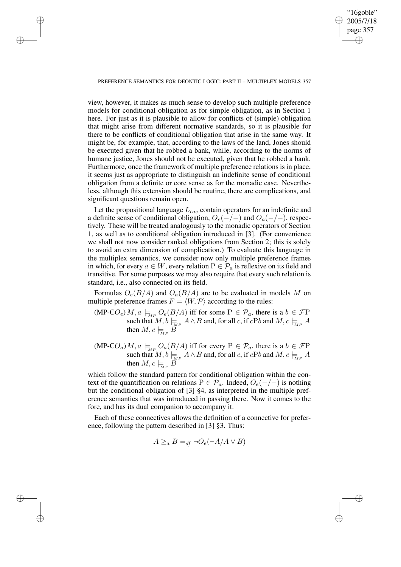"16goble" 2005/7/18 page 357 ✐ ✐

✐

✐

#### PREFERENCE SEMANTICS FOR DEONTIC LOGIC: PART II – MULTIPLEX MODELS 357

✐

✐

✐

✐

view, however, it makes as much sense to develop such multiple preference models for conditional obligation as for simple obligation, as in Section 1 here. For just as it is plausible to allow for conflicts of (simple) obligation that might arise from different normative standards, so it is plausible for there to be conflicts of conditional obligation that arise in the same way. It might be, for example, that, according to the laws of the land, Jones should be executed given that he robbed a bank, while, according to the norms of humane justice, Jones should not be executed, given that he robbed a bank. Furthermore, once the framework of multiple preference relations is in place, it seems just as appropriate to distinguish an indefinite sense of conditional obligation from a definite or core sense as for the monadic case. Nevertheless, although this extension should be routine, there are complications, and significant questions remain open.

Let the propositional language  $L_{cae}$  contain operators for an indefinite and a definite sense of conditional obligation,  $O_e(-/-)$  and  $O_a(-/-)$ , respectively. These will be treated analogously to the monadic operators of Section 1, as well as to conditional obligation introduced in [3]. (For convenience we shall not now consider ranked obligations from Section 2; this is solely to avoid an extra dimension of complication.) To evaluate this language in the multiplex semantics, we consider now only multiple preference frames in which, for every  $a \in W$ , every relation  $P \in \mathcal{P}_a$  is reflexive on its field and transitive. For some purposes we may also require that every such relation is standard, i.e., also connected on its field.

Formulas  $O_e(B/A)$  and  $O_a(B/A)$  are to be evaluated in models M on multiple preference frames  $F = \langle W, \mathcal{P} \rangle$  according to the rules:

- (MP-CO<sub>e</sub>)  $M$ ,  $a \models_{MP} O_e(B/A)$  iff for some  $P \in \mathcal{P}_a$ , there is a  $b \in \mathcal{F}P$ such that  $M, b \models_{\overline{M}P} A \wedge B$  and, for all c, if  $cPb$  and  $M, c \models_{\overline{M}P} A$ then  $M, c \models B$
- (MP-CO<sub>a</sub>)  $M, a \models_{MP} O_a(B/A)$  iff for every  $P \in \mathcal{P}_a$ , there is a  $b \in \mathcal{F}P$ such that  $M, b \models_{\overline{M}P} A \wedge B$  and, for all c, if  $cPb$  and  $M, c \models_{\overline{M}P} A$ then  $M, c \models_{\mathbb{M}^P} B$

which follow the standard pattern for conditional obligation within the context of the quantification on relations  $P \in \mathcal{P}_a$ . Indeed,  $O_e(-/-)$  is nothing but the conditional obligation of [3] §4, as interpreted in the multiple preference semantics that was introduced in passing there. Now it comes to the fore, and has its dual companion to accompany it.

Each of these connectives allows the definition of a connective for preference, following the pattern described in [3] §3. Thus:

$$
A \geq_a B =_{df} \neg O_e(\neg A/A \lor B)
$$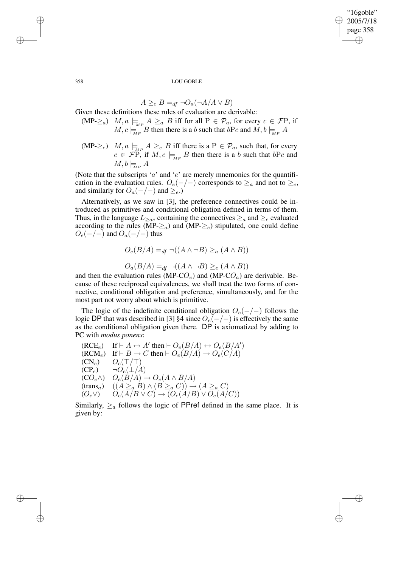"16goble" 2005/7/18 page 358 ✐ ✐

✐

✐

358 LOU GOBLE

$$
A \geq_e B =_{df} \neg O_a(\neg A/A \lor B)
$$

Given these definitions these rules of evaluation are derivable:

- $(MP-\geq_a)$   $M, a \models_{M \supseteq a} A \geq_a B$  iff for all  $P \in \mathcal{P}_a$ , for every  $c \in \mathcal{F}P$ , if  $M, c \models_{MP} B$  then there is a b such that  $bPc$  and  $M, b \models_{MP} A$
- $(MP-\geq_e)$   $M, a \models_{MP} A \geq_e B$  iff there is a  $P \in \mathcal{P}_a$ , such that, for every  $c \in \mathcal{F}P$ , if  $M, c \models_{MP} B$  then there is a b such that  $bPc$  and  $M, b \models_{\text{M.P.}} A$

(Note that the subscripts ' $a$ ' and ' $e$ ' are merely mnemonics for the quantification in the evaluation rules.  $O_e(-/-)$  corresponds to  $\geq_a$  and not to  $\geq_e$ , and similarly for  $O_a(-/-)$  and  $\geq_e$ .)

Alternatively, as we saw in [3], the preference connectives could be introduced as primitives and conditional obligation defined in terms of them. Thus, in the language  $L_{\geq ae}$  containing the connectives  $\geq_a$  and  $\geq_e$  evaluated according to the rules ( $\overline{MP}_{\geq a}$ ) and  $(MP_{\geq e})$  stipulated, one could define  $O_e(-/-)$  and  $O_a(-/-)$  thus

$$
O_e(B/A) =_{df} \neg((A \land \neg B) \geq_a (A \land B))
$$

$$
O_a(B/A) =_{df} \neg((A \land \neg B) \geq_e (A \land B))
$$

and then the evaluation rules (MP-CO<sub>e</sub>) and (MP-CO<sub>a</sub>) are derivable. Because of these reciprocal equivalences, we shall treat the two forms of connective, conditional obligation and preference, simultaneously, and for the most part not worry about which is primitive.

The logic of the indefinite conditional obligation  $O_e(-/-)$  follows the logic DP that was described in [3] §4 since  $O_e(-/-)$  is effectively the same as the conditional obligation given there. DP is axiomatized by adding to PC with *modus ponens*:

 $(RCE_e)$  If  $\vdash A \leftrightarrow A'$  then  $\vdash O_e(B/A) \leftrightarrow O_e(B/A')$  $(RCM_e)$  If  $\vdash B \to C$  then  $\vdash O_e(B/A) \to O_e(C/A)$  $(CN_e)$   $O_e(\top/\top)$  $(CP_e) \qquad \neg \overset{\frown}{O}_e(\bot/A)$  $(CO_e \wedge)$   $O_e(B/A) \rightarrow O_e(A \wedge B/A)$  $(\text{trans}_a) \quad ((A \geq_a B) \land (B \geq_a C)) \rightarrow (A \geq_a C)$  $(O_e \vee)$   $O_e(A/B \vee C) \rightarrow (O_e(A/B) \vee O_e(A/C))$ 

Similarly,  $\geq_a$  follows the logic of PPref defined in the same place. It is given by:

✐

✐

✐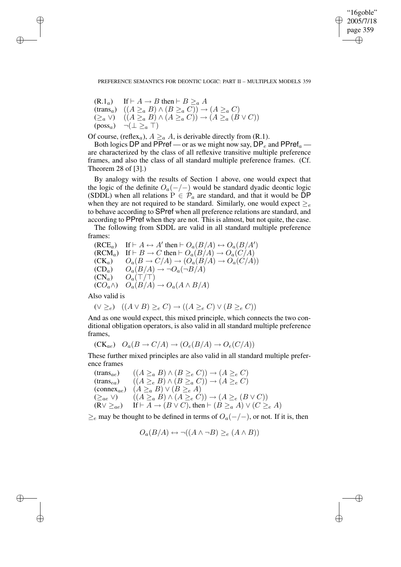✐

#### PREFERENCE SEMANTICS FOR DEONTIC LOGIC: PART II – MULTIPLEX MODELS 359

 $(R.1<sub>a</sub>)$  If  $\vdash A \rightarrow B$  then  $\vdash B \geq_a A$ (trans<sub>a</sub>)  $((A \geq_a B) \land (B \geq_a C)) \rightarrow (A \geq_a C)$  $(\geq_a \vee)$   $((A \geq_a B) \wedge (A \geq_a C)) \rightarrow (A \geq_a (B \vee C))$  $(\text{poss}_a) \quad \neg (\perp \geq_a \top)$ 

Of course, (reflex<sub>a</sub>),  $A \geq_a A$ , is derivable directly from (R.1).

Both logics DP and PPref — or as we might now say,  $DP_e$  and PPref<sub>a</sub> are characterized by the class of all reflexive transitive multiple preference frames, and also the class of all standard multiple preference frames. (Cf. Theorem 28 of [3].)

By analogy with the results of Section 1 above, one would expect that the logic of the definite  $O_a(-/-)$  would be standard dyadic deontic logic (SDDL) when all relations  $P \in \mathcal{P}_a$  are standard, and that it would be DP when they are not required to be standard. Similarly, one would expect  $\geq_e$ to behave according to SPref when all preference relations are standard, and according to PPref when they are not. This is almost, but not quite, the case.

The following from SDDL are valid in all standard multiple preference frames:

$$
\begin{array}{ll}\n(\text{RCE}_a) & \text{If} \vdash A \leftrightarrow A' \text{ then } \vdash O_a(B/A) \leftrightarrow O_a(B/A') \\
(\text{RCM}_a) & \text{If} \vdash B \to C \text{ then } \vdash O_a(B/A) \to O_a(C/A) \\
(\text{CK}_a) & O_a(B \to C/A) \to (O_a(B/A) \to O_a(C/A)) \\
(\text{CD}_a) & O_a(B/A) \to \neg O_a(\neg B/A) \\
(\text{CN}_a) & O_a(\top/\top) \\
(\text{CO}_a \land) & O_a(B/A) \to O_a(A \land B/A)\n\end{array}
$$

Also valid is

✐

✐

✐

✐

$$
(\vee \geq_e) \quad ((A \vee B) \geq_e C) \rightarrow ((A \geq_e C) \vee (B \geq_e C))
$$

And as one would expect, this mixed principle, which connects the two conditional obligation operators, is also valid in all standard multiple preference frames,

$$
(\mathrm{CK}_{ae}) \quad O_a(B \to C/A) \to (O_e(B/A) \to O_e(C/A))
$$

These further mixed principles are also valid in all standard multiple preference frames

 $(\text{trans}_{ae}) \quad ((A \geq_{a} B) \land (B \geq_{e} C)) \rightarrow (A \geq_{e} C)$  $(\text{trans}_{ea})$   $((A \geq_{e} B) \land (B \geq_{a} C)) \rightarrow (A \geq_{e} C)$ (connex<sub>ae</sub>)  $(A \geq_a B) \vee (B \geq_e A)$  $(\ge_{ae} \vee)$   $((A \ge_{a} B) \wedge (A \ge_{e} C)) \rightarrow (A \ge_{e} (B \vee C))$  $(R \vee \ge_{ae})$  If  $\vdash A \rightarrow (B \vee C)$ , then  $\vdash (B \ge_{a} A) \vee (C \ge_{e} A)$ 

 $\geq_e$  may be thought to be defined in terms of  $O_a(-/-)$ , or not. If it is, then

$$
O_a(B/A) \leftrightarrow \neg((A \land \neg B) \geq_e (A \land B))
$$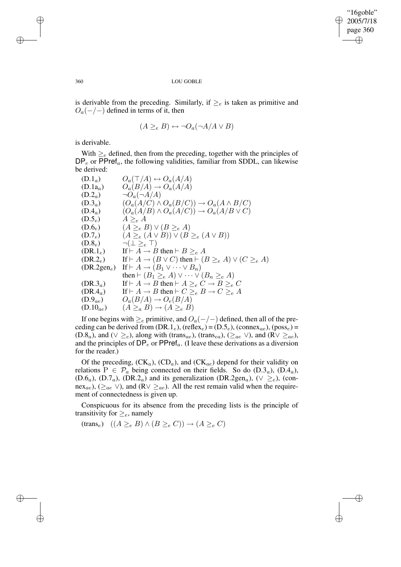✐

#### 360 LOU GOBLE

is derivable from the preceding. Similarly, if  $\geq_e$  is taken as primitive and  $O_a(-/-)$  defined in terms of it, then

$$
(A \geq_e B) \leftrightarrow \neg O_a(\neg A/A \lor B)
$$

is derivable.

With  $\geq_e$  defined, then from the preceding, together with the principles of  $DP_e$  or  $PPref_a$ , the following validities, familiar from SDDL, can likewise be derived:

(D.1<sub>a</sub>) 
$$
O_a(\top/A) \leftrightarrow O_a(A/A)
$$
  
\n(D.1<sub>a</sub>)  $O_a(B/A) \rightarrow O_a(A/A)$   
\n(D.2<sub>a</sub>)  $\neg O_a(\neg A/A)$   
\n(D.3<sub>a</sub>)  $(O_a(A/C) \land O_a(B/C)) \rightarrow O_a(A \land B/C)$   
\n(D.4<sub>a</sub>)  $(O_a(A/B) \land O_a(A/C)) \rightarrow O_a(A/B \lor C)$   
\n(D.5<sub>e</sub>)  $A \geq_e A$   
\n(D.6<sub>e</sub>)  $(A \geq_e B) \lor (B \geq_e A)$   
\n(D.7<sub>e</sub>)  $(A \geq_e (A \lor B)) \lor (B \geq_e (A \lor B))$   
\n(D.8<sub>e</sub>)  $\neg (\bot \geq_e \top)$   
\n(DR.1<sub>e</sub>) If  $\vdash A \rightarrow B$  then  $\vdash B \geq_e A$   
\n(DR.2<sub>e</sub>) If  $\vdash A \rightarrow (B \lor C)$  then  $\vdash (B \geq_e A) \lor (C \geq_e A)$   
\n(DR.2gen<sub>e</sub>) If  $\vdash A \rightarrow (B_1 \lor \cdots \lor B_n)$   
\nthen  $\vdash (B_1 \geq_e A) \lor \cdots \lor (B_n \geq_e A)$   
\n(DR.3<sub>a</sub>) If  $\vdash A \rightarrow B$  then  $\vdash A \geq_e C \rightarrow B \geq_e C$   
\n(DR.4<sub>a</sub>) If  $\vdash A \rightarrow B$  then  $\vdash C \geq_e B \rightarrow C \geq_e A$   
\n(D.9<sub>ae</sub>)  $O_a(B/A) \rightarrow O_e(B/A)$   
\n(D.10<sub>ae</sub>)  $(A \geq_a B) \rightarrow (A \geq_e B)$ 

If one begins with  $\geq_e$  primitive, and  $O_a(-/-)$  defined, then all of the preceding can be derived from  $(DR.1_e)$ , (reflex<sub>e</sub>) =  $(D.5_e)$ , (connex<sub>ae</sub>), (poss<sub>e</sub>) = (D.8<sub>a</sub>), and ( $\vee \geq_e$ ), along with (trans<sub>ae</sub>), (trans<sub>ea</sub>), ( $\geq_{ae}$   $\vee$ ), and (R $\vee \geq_{ae}$ ), and the principles of  $DP_e$  or  $PPref_a$ . (I leave these derivations as a diversion for the reader.)

Of the preceding,  $(CK_a)$ ,  $(CD_a)$ , and  $(CK_{ae})$  depend for their validity on relations  $P \in \mathcal{P}_a$  being connected on their fields. So do  $(D.3<sub>a</sub>)$ ,  $(D.4<sub>a</sub>)$ , (D.6<sub>a</sub>), (D.7<sub>a</sub>), (DR.2<sub>a</sub>) and its generalization (DR.2gen<sub>a</sub>), ( $\vee \geq_e$ ), (connex<sub>ae</sub>), ( $\geq_{ae}$  ∨), and (R $\vee \geq_{ae}$ ). All the rest remain valid when the requirement of connectedness is given up.

Conspicuous for its absence from the preceding lists is the principle of transitivity for  $\geq_e$ , namely

 $(\text{trans}_e) \ (A \geq_e B) \land (B \geq_e C)) \rightarrow (A \geq_e C)$ 

✐

✐

✐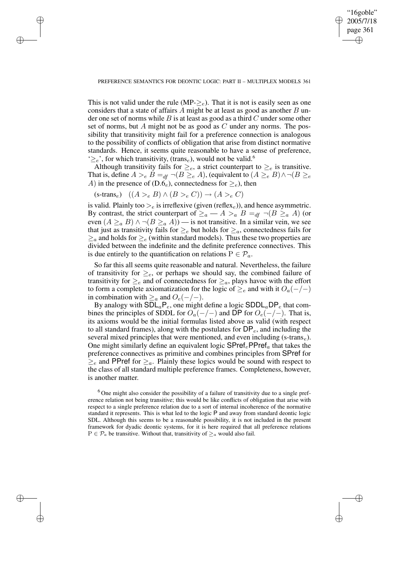✐

This is not valid under the rule (MP- $\geq_e$ ). That it is not is easily seen as one considers that a state of affairs  $A$  might be at least as good as another  $B$  under one set of norms while  $B$  is at least as good as a third  $C$  under some other set of norms, but A might not be as good as  $C$  under any norms. The possibility that transitivity might fail for a preference connection is analogous to the possibility of conflicts of obligation that arise from distinct normative standards. Hence, it seems quite reasonable to have a sense of preference,  $\geq_e$ , for which transitivity, (trans<sub>e</sub>), would not be valid.<sup>6</sup>

Although transitivity fails for  $\geq_e$ , a strict counterpart to  $\geq_e$  is transitive. That is, define  $A >_e B =_{df} \neg (B \geq_e A)$ , (equivalent to  $(A \geq_e B) \land \neg (B \geq_e A)$ A) in the presence of (D.6<sub>e</sub>), connectedness for  $\geq_e$ ), then

 $(s\text{-trans}_e)$   $((A >_e B) \wedge (B >_e C)) \rightarrow (A >_e C)$ 

✐

✐

✐

✐

is valid. Plainly too  $\geq_e$  is irreflexive (given (reflex<sub>e</sub>)), and hence asymmetric. By contrast, the strict counterpart of  $\geq_a - A >_a B =_{df} \neg(B \geq_a A)$  (or even  $(A \geq_a B) \land \neg (B \geq_a A)$ ) — is not transitive. In a similar vein, we see that just as transitivity fails for  $\geq_e$  but holds for  $\geq_a$ , connectedness fails for  $\geq_a$  and holds for  $\geq_e$  (within standard models). Thus these two properties are divided between the indefinite and the definite preference connectives. This is due entirely to the quantification on relations  $P \in \mathcal{P}_a$ .

So far this all seems quite reasonable and natural. Nevertheless, the failure of transitivity for  $\geq_e$ , or perhaps we should say, the combined failure of transitivity for  $\geq_e$  and of connectedness for  $\geq_a$ , plays havoc with the effort to form a complete axiomatization for the logic of  $\geq_e$  and with it  $O_a(-/-)$ in combination with  $\geq_a$  and  $O_e(-/-)$ .

By analogy with  $SDL_aP_e$ , one might define a logic  $SDDL_aDP_e$  that combines the principles of SDDL for  $O_a(-/-)$  and DP for  $O_e(-/-)$ . That is, its axioms would be the initial formulas listed above as valid (with respect to all standard frames), along with the postulates for  $DP_e$ , and including the several mixed principles that were mentioned, and even including (s-trans $_e$ ). One might similarly define an equivalent logic  $\text{SPref}_e\text{PPref}_a$  that takes the preference connectives as primitive and combines principles from SPref for  $\geq_e$  and PPref for  $\geq_a$ . Plainly these logics would be sound with respect to the class of all standard multiple preference frames. Completeness, however, is another matter.

 $6$  One might also consider the possibility of a failure of transitivity due to a single preference relation not being transitive; this would be like conflicts of obligation that arise with respect to a single preference relation due to a sort of internal incoherence of the normative standard it represents. This is what led to the logic P and away from standard deontic logic SDL. Although this seems to be a reasonable possibility, it is not included in the present framework for dyadic deontic systems, for it is here required that all preference relations  $P \in \mathcal{P}_a$  be transitive. Without that, transitivity of  $\geq_a$  would also fail.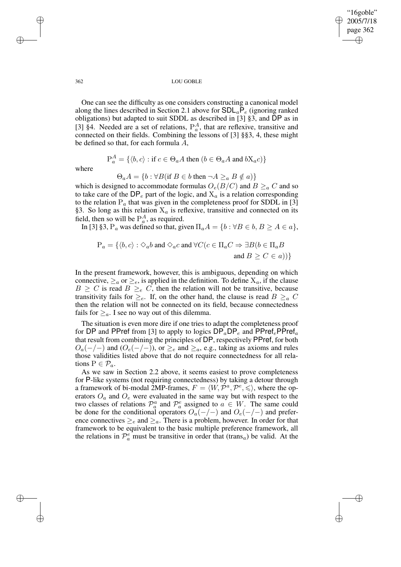"16goble" 2005/7/18 page 362 ✐ ✐

✐

✐

#### 362 LOU GOBLE

One can see the difficulty as one considers constructing a canonical model along the lines described in Section 2.1 above for  $SDL_aP_e$  (ignoring ranked obligations) but adapted to suit SDDL as described in [3] §3, and DP as in [3] §4. Needed are a set of relations,  $P_a^A$ , that are reflexive, transitive and connected on their fields. Combining the lessons of [3] §§3, 4, these might be defined so that, for each formula A,

$$
P_a^A = \{ \langle b, c \rangle : \text{if } c \in \Theta_a A \text{ then } (b \in \Theta_a A \text{ and } bX_a c) \}
$$

where

$$
\Theta_a A = \{ b : \forall B (\text{if } B \in b \text{ then } \neg A \geq_a B \notin a) \}
$$

which is designed to accommodate formulas  $O_e(B/C)$  and  $B \geq_a C$  and so to take care of the  $DP_e$  part of the logic, and  $X_a$  is a relation corresponding to the relation  $P_a$  that was given in the completeness proof for SDDL in [3] §3. So long as this relation  $X_a$  is reflexive, transitive and connected on its field, then so will be  $P_a^A$ , as required.

In [3] §3,  $P_a$  was defined so that, given  $\Pi_a A = \{b : \forall B \in b, B \ge A \in a\},\$ 

$$
P_a = \{ \langle b, c \rangle : \Diamond_a b \text{ and } \Diamond_a c \text{ and } \forall C (c \in \Pi_a C \Rightarrow \exists B (b \in \Pi_a B
$$
  
and  $B \ge C \in a) \}$ 

In the present framework, however, this is ambiguous, depending on which connective,  $\geq_a$  or  $\geq_e$ , is applied in the definition. To define  $X_a$ , if the clause  $B \geq C$  is read  $B \geq_e C$ , then the relation will not be transitive, because transitivity fails for  $\geq_e$ . If, on the other hand, the clause is read  $B \geq_a C$ then the relation will not be connected on its field, because connectedness fails for  $\geq_a$ . I see no way out of this dilemma.

The situation is even more dire if one tries to adapt the completeness proof for DP and PPref from [3] to apply to logics  $DP_aDP_e$  and  $PPref_ePPref_a$ that result from combining the principles of DP, respectively PPref, for both  $O_a(-/-)$  and  $(O_e(-/-))$ , or  $\geq_e$  and  $\geq_a$ , e.g., taking as axioms and rules those validities listed above that do not require connectedness for all relations  $P \in \mathcal{P}_a$ .

As we saw in Section 2.2 above, it seems easiest to prove completeness for P-like systems (not requiring connectedness) by taking a detour through a framework of bi-modal 2MP-frames,  $F = \langle W, \mathcal{P}^a, \mathcal{P}^e, \leq \rangle$ , where the operators  $O_a$  and  $O_e$  were evaluated in the same way but with respect to the two classes of relations  $\mathcal{P}_a^a$  and  $\mathcal{P}_a^e$  assigned to  $a \in W$ . The same could be done for the conditional operators  $O_a(-/-)$  and  $O_e(-/-)$  and preference connectives  $\geq_e$  and  $\geq_a$ . There is a problem, however. In order for that framework to be equivalent to the basic multiple preference framework, all the relations in  $\mathcal{P}_a^e$  must be transitive in order that (trans<sub>a</sub>) be valid. At the

✐

✐

✐